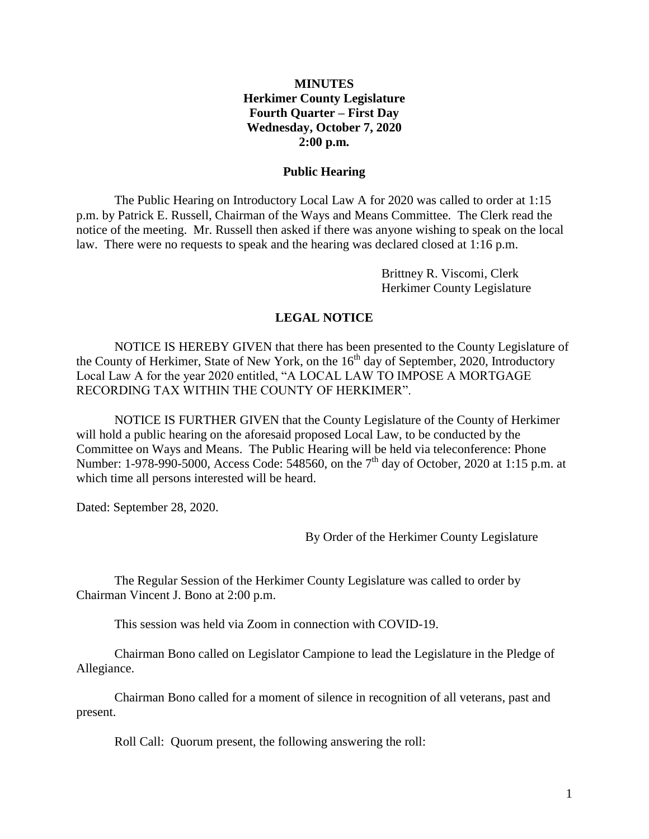### **MINUTES Herkimer County Legislature Fourth Quarter – First Day Wednesday, October 7, 2020 2:00 p.m.**

#### **Public Hearing**

The Public Hearing on Introductory Local Law A for 2020 was called to order at 1:15 p.m. by Patrick E. Russell, Chairman of the Ways and Means Committee. The Clerk read the notice of the meeting. Mr. Russell then asked if there was anyone wishing to speak on the local law. There were no requests to speak and the hearing was declared closed at 1:16 p.m.

> Brittney R. Viscomi, Clerk Herkimer County Legislature

#### **LEGAL NOTICE**

NOTICE IS HEREBY GIVEN that there has been presented to the County Legislature of the County of Herkimer, State of New York, on the 16<sup>th</sup> day of September, 2020, Introductory Local Law A for the year 2020 entitled, "A LOCAL LAW TO IMPOSE A MORTGAGE RECORDING TAX WITHIN THE COUNTY OF HERKIMER".

NOTICE IS FURTHER GIVEN that the County Legislature of the County of Herkimer will hold a public hearing on the aforesaid proposed Local Law, to be conducted by the Committee on Ways and Means. The Public Hearing will be held via teleconference: Phone Number: 1-978-990-5000, Access Code: 548560, on the 7<sup>th</sup> day of October, 2020 at 1:15 p.m. at which time all persons interested will be heard.

Dated: September 28, 2020.

By Order of the Herkimer County Legislature

The Regular Session of the Herkimer County Legislature was called to order by Chairman Vincent J. Bono at 2:00 p.m.

This session was held via Zoom in connection with COVID-19.

Chairman Bono called on Legislator Campione to lead the Legislature in the Pledge of Allegiance.

Chairman Bono called for a moment of silence in recognition of all veterans, past and present.

Roll Call: Quorum present, the following answering the roll: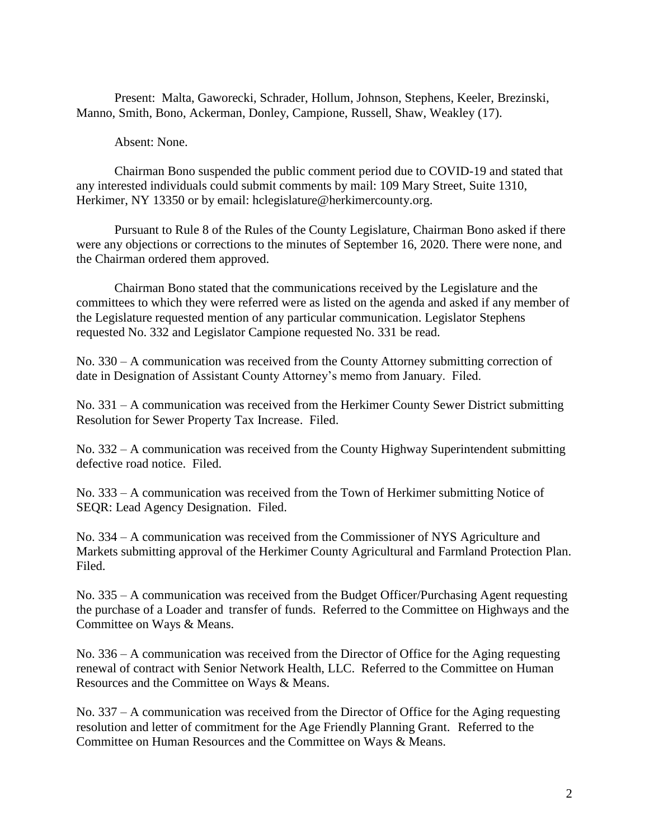Present: Malta, Gaworecki, Schrader, Hollum, Johnson, Stephens, Keeler, Brezinski, Manno, Smith, Bono, Ackerman, Donley, Campione, Russell, Shaw, Weakley (17).

Absent: None.

Chairman Bono suspended the public comment period due to COVID-19 and stated that any interested individuals could submit comments by mail: 109 Mary Street, Suite 1310, Herkimer, NY 13350 or by email: hclegislature@herkimercounty.org.

Pursuant to Rule 8 of the Rules of the County Legislature, Chairman Bono asked if there were any objections or corrections to the minutes of September 16, 2020. There were none, and the Chairman ordered them approved.

Chairman Bono stated that the communications received by the Legislature and the committees to which they were referred were as listed on the agenda and asked if any member of the Legislature requested mention of any particular communication. Legislator Stephens requested No. 332 and Legislator Campione requested No. 331 be read.

No. 330 – A communication was received from the County Attorney submitting correction of date in Designation of Assistant County Attorney's memo from January. Filed.

No. 331 – A communication was received from the Herkimer County Sewer District submitting Resolution for Sewer Property Tax Increase. Filed.

No. 332 – A communication was received from the County Highway Superintendent submitting defective road notice. Filed.

No. 333 – A communication was received from the Town of Herkimer submitting Notice of SEQR: Lead Agency Designation. Filed.

No. 334 – A communication was received from the Commissioner of NYS Agriculture and Markets submitting approval of the Herkimer County Agricultural and Farmland Protection Plan. Filed.

No. 335 – A communication was received from the Budget Officer/Purchasing Agent requesting the purchase of a Loader and transfer of funds. Referred to the Committee on Highways and the Committee on Ways & Means.

No. 336 – A communication was received from the Director of Office for the Aging requesting renewal of contract with Senior Network Health, LLC. Referred to the Committee on Human Resources and the Committee on Ways & Means.

No. 337 – A communication was received from the Director of Office for the Aging requesting resolution and letter of commitment for the Age Friendly Planning Grant. Referred to the Committee on Human Resources and the Committee on Ways & Means.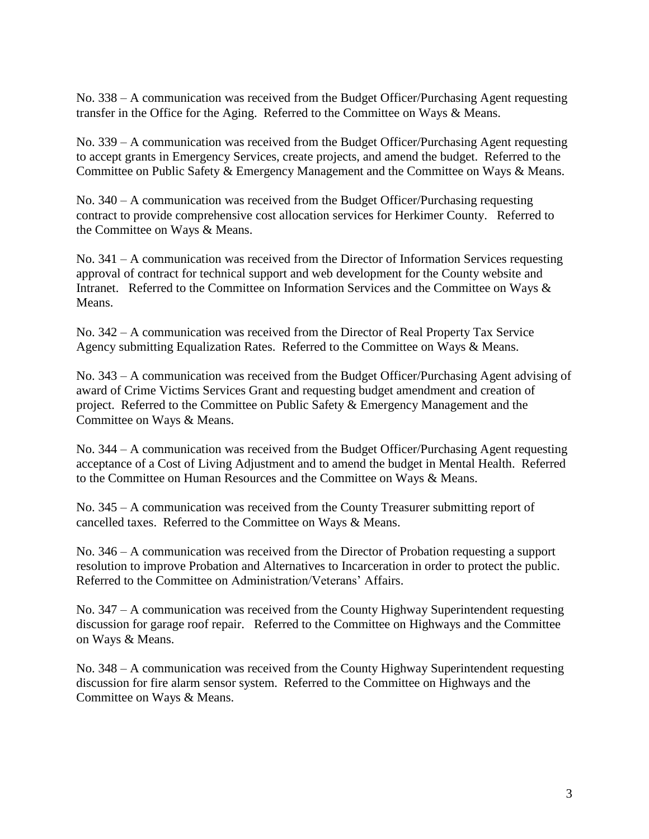No. 338 – A communication was received from the Budget Officer/Purchasing Agent requesting transfer in the Office for the Aging. Referred to the Committee on Ways & Means.

No. 339 – A communication was received from the Budget Officer/Purchasing Agent requesting to accept grants in Emergency Services, create projects, and amend the budget. Referred to the Committee on Public Safety & Emergency Management and the Committee on Ways & Means.

No. 340 – A communication was received from the Budget Officer/Purchasing requesting contract to provide comprehensive cost allocation services for Herkimer County. Referred to the Committee on Ways & Means.

No. 341 – A communication was received from the Director of Information Services requesting approval of contract for technical support and web development for the County website and Intranet. Referred to the Committee on Information Services and the Committee on Ways & Means.

No. 342 – A communication was received from the Director of Real Property Tax Service Agency submitting Equalization Rates. Referred to the Committee on Ways & Means.

No. 343 – A communication was received from the Budget Officer/Purchasing Agent advising of award of Crime Victims Services Grant and requesting budget amendment and creation of project. Referred to the Committee on Public Safety & Emergency Management and the Committee on Ways & Means.

No. 344 – A communication was received from the Budget Officer/Purchasing Agent requesting acceptance of a Cost of Living Adjustment and to amend the budget in Mental Health. Referred to the Committee on Human Resources and the Committee on Ways & Means.

No. 345 – A communication was received from the County Treasurer submitting report of cancelled taxes. Referred to the Committee on Ways & Means.

No. 346 – A communication was received from the Director of Probation requesting a support resolution to improve Probation and Alternatives to Incarceration in order to protect the public. Referred to the Committee on Administration/Veterans' Affairs.

No. 347 – A communication was received from the County Highway Superintendent requesting discussion for garage roof repair. Referred to the Committee on Highways and the Committee on Ways & Means.

No. 348 – A communication was received from the County Highway Superintendent requesting discussion for fire alarm sensor system. Referred to the Committee on Highways and the Committee on Ways & Means.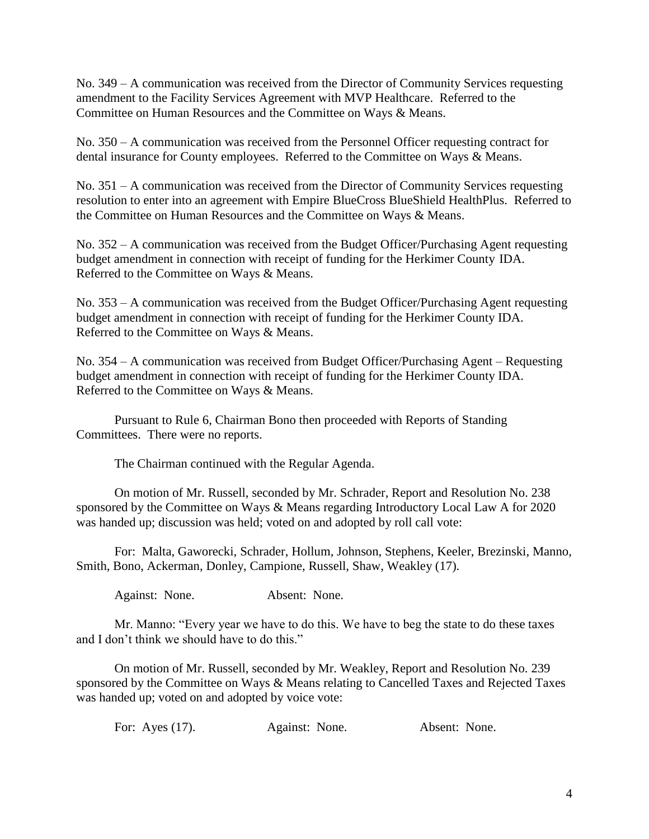No. 349 – A communication was received from the Director of Community Services requesting amendment to the Facility Services Agreement with MVP Healthcare. Referred to the Committee on Human Resources and the Committee on Ways & Means.

No. 350 – A communication was received from the Personnel Officer requesting contract for dental insurance for County employees. Referred to the Committee on Ways & Means.

No. 351 – A communication was received from the Director of Community Services requesting resolution to enter into an agreement with Empire BlueCross BlueShield HealthPlus. Referred to the Committee on Human Resources and the Committee on Ways & Means.

No. 352 – A communication was received from the Budget Officer/Purchasing Agent requesting budget amendment in connection with receipt of funding for the Herkimer County IDA. Referred to the Committee on Ways & Means.

No. 353 – A communication was received from the Budget Officer/Purchasing Agent requesting budget amendment in connection with receipt of funding for the Herkimer County IDA. Referred to the Committee on Ways & Means.

No. 354 – A communication was received from Budget Officer/Purchasing Agent – Requesting budget amendment in connection with receipt of funding for the Herkimer County IDA. Referred to the Committee on Ways & Means.

Pursuant to Rule 6, Chairman Bono then proceeded with Reports of Standing Committees. There were no reports.

The Chairman continued with the Regular Agenda.

On motion of Mr. Russell, seconded by Mr. Schrader, Report and Resolution No. 238 sponsored by the Committee on Ways & Means regarding Introductory Local Law A for 2020 was handed up; discussion was held; voted on and adopted by roll call vote:

For: Malta, Gaworecki, Schrader, Hollum, Johnson, Stephens, Keeler, Brezinski, Manno, Smith, Bono, Ackerman, Donley, Campione, Russell, Shaw, Weakley (17).

Against: None. Absent: None.

Mr. Manno: "Every year we have to do this. We have to beg the state to do these taxes and I don't think we should have to do this."

On motion of Mr. Russell, seconded by Mr. Weakley, Report and Resolution No. 239 sponsored by the Committee on Ways & Means relating to Cancelled Taxes and Rejected Taxes was handed up; voted on and adopted by voice vote:

| For: Ayes $(17)$ . | Against: None. | Absent: None. |
|--------------------|----------------|---------------|
|--------------------|----------------|---------------|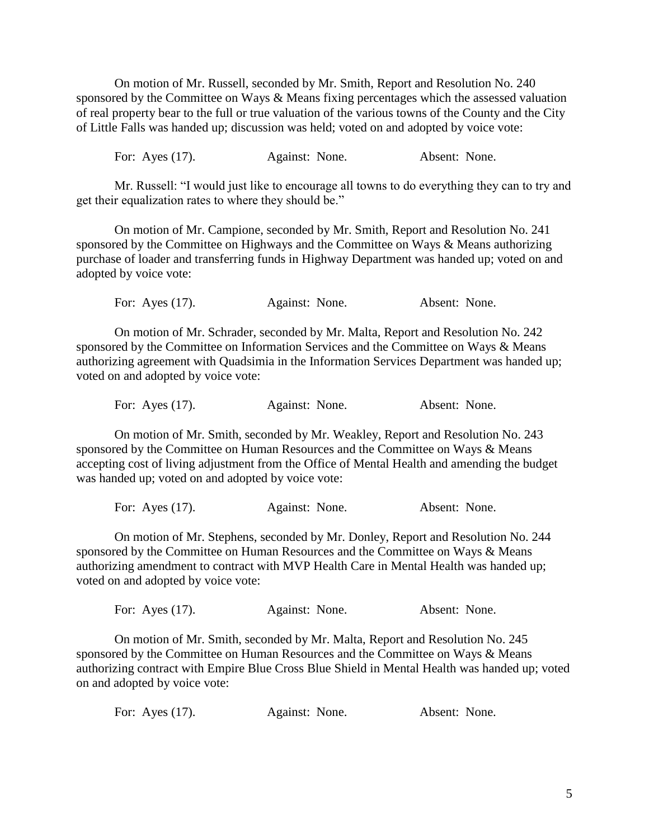On motion of Mr. Russell, seconded by Mr. Smith, Report and Resolution No. 240 sponsored by the Committee on Ways & Means fixing percentages which the assessed valuation of real property bear to the full or true valuation of the various towns of the County and the City of Little Falls was handed up; discussion was held; voted on and adopted by voice vote:

For: Ayes (17). Against: None. Absent: None.

Mr. Russell: "I would just like to encourage all towns to do everything they can to try and get their equalization rates to where they should be."

On motion of Mr. Campione, seconded by Mr. Smith, Report and Resolution No. 241 sponsored by the Committee on Highways and the Committee on Ways & Means authorizing purchase of loader and transferring funds in Highway Department was handed up; voted on and adopted by voice vote:

For: Ayes (17). Against: None. Absent: None.

On motion of Mr. Schrader, seconded by Mr. Malta, Report and Resolution No. 242 sponsored by the Committee on Information Services and the Committee on Ways & Means authorizing agreement with Quadsimia in the Information Services Department was handed up; voted on and adopted by voice vote:

For: Ayes (17). Against: None. Absent: None.

On motion of Mr. Smith, seconded by Mr. Weakley, Report and Resolution No. 243 sponsored by the Committee on Human Resources and the Committee on Ways & Means accepting cost of living adjustment from the Office of Mental Health and amending the budget was handed up; voted on and adopted by voice vote:

For: Ayes (17). Against: None. Absent: None.

On motion of Mr. Stephens, seconded by Mr. Donley, Report and Resolution No. 244 sponsored by the Committee on Human Resources and the Committee on Ways & Means authorizing amendment to contract with MVP Health Care in Mental Health was handed up; voted on and adopted by voice vote:

For: Ayes (17). Against: None. Absent: None.

On motion of Mr. Smith, seconded by Mr. Malta, Report and Resolution No. 245 sponsored by the Committee on Human Resources and the Committee on Ways & Means authorizing contract with Empire Blue Cross Blue Shield in Mental Health was handed up; voted on and adopted by voice vote:

|  | For: Ayes $(17)$ . | Against: None. | Absent: None. |
|--|--------------------|----------------|---------------|
|--|--------------------|----------------|---------------|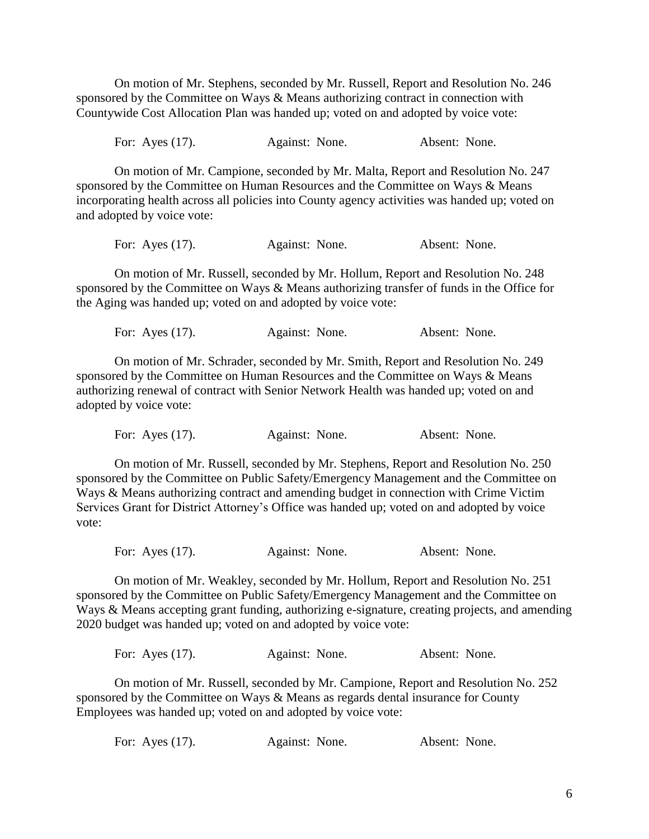On motion of Mr. Stephens, seconded by Mr. Russell, Report and Resolution No. 246 sponsored by the Committee on Ways & Means authorizing contract in connection with Countywide Cost Allocation Plan was handed up; voted on and adopted by voice vote:

For: Ayes (17). Against: None. Absent: None.

On motion of Mr. Campione, seconded by Mr. Malta, Report and Resolution No. 247 sponsored by the Committee on Human Resources and the Committee on Ways & Means incorporating health across all policies into County agency activities was handed up; voted on and adopted by voice vote:

For: Ayes (17). Against: None. Absent: None.

On motion of Mr. Russell, seconded by Mr. Hollum, Report and Resolution No. 248 sponsored by the Committee on Ways & Means authorizing transfer of funds in the Office for the Aging was handed up; voted on and adopted by voice vote:

For: Ayes (17). Against: None. Absent: None.

On motion of Mr. Schrader, seconded by Mr. Smith, Report and Resolution No. 249 sponsored by the Committee on Human Resources and the Committee on Ways & Means authorizing renewal of contract with Senior Network Health was handed up; voted on and adopted by voice vote:

For: Ayes (17). Against: None. Absent: None.

On motion of Mr. Russell, seconded by Mr. Stephens, Report and Resolution No. 250 sponsored by the Committee on Public Safety/Emergency Management and the Committee on Ways & Means authorizing contract and amending budget in connection with Crime Victim Services Grant for District Attorney's Office was handed up; voted on and adopted by voice vote:

For: Ayes (17). Against: None. Absent: None.

On motion of Mr. Weakley, seconded by Mr. Hollum, Report and Resolution No. 251 sponsored by the Committee on Public Safety/Emergency Management and the Committee on Ways & Means accepting grant funding, authorizing e-signature, creating projects, and amending 2020 budget was handed up; voted on and adopted by voice vote:

| For: Ayes $(17)$ .<br>Against: None. |  | Absent: None. |
|--------------------------------------|--|---------------|
|--------------------------------------|--|---------------|

On motion of Mr. Russell, seconded by Mr. Campione, Report and Resolution No. 252 sponsored by the Committee on Ways & Means as regards dental insurance for County Employees was handed up; voted on and adopted by voice vote:

| For: Ayes $(17)$ .<br>Against: None. | Absent: None. |
|--------------------------------------|---------------|
|--------------------------------------|---------------|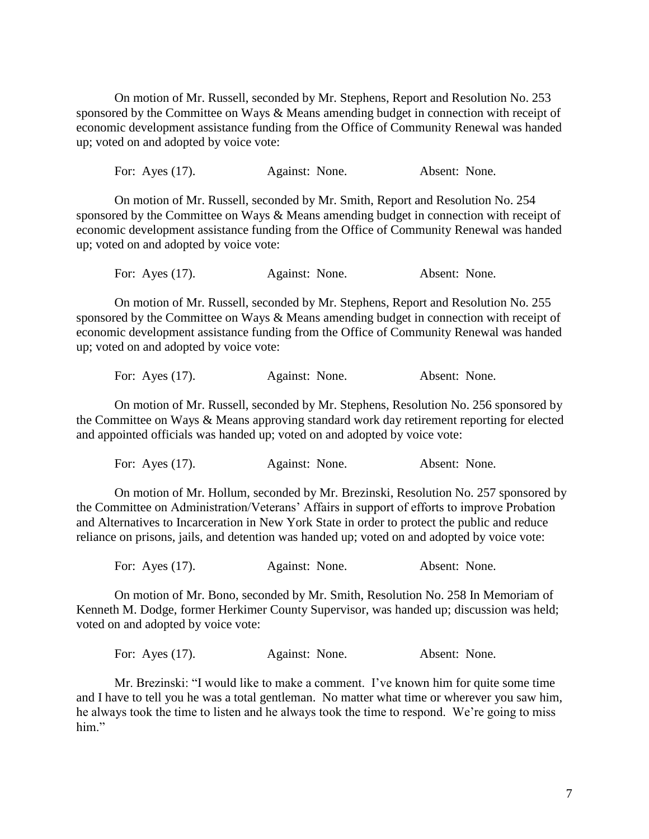On motion of Mr. Russell, seconded by Mr. Stephens, Report and Resolution No. 253 sponsored by the Committee on Ways & Means amending budget in connection with receipt of economic development assistance funding from the Office of Community Renewal was handed up; voted on and adopted by voice vote:

For: Ayes (17). Against: None. Absent: None.

On motion of Mr. Russell, seconded by Mr. Smith, Report and Resolution No. 254 sponsored by the Committee on Ways & Means amending budget in connection with receipt of economic development assistance funding from the Office of Community Renewal was handed up; voted on and adopted by voice vote:

For: Ayes (17). Against: None. Absent: None.

On motion of Mr. Russell, seconded by Mr. Stephens, Report and Resolution No. 255 sponsored by the Committee on Ways & Means amending budget in connection with receipt of economic development assistance funding from the Office of Community Renewal was handed up; voted on and adopted by voice vote:

For: Ayes (17). Against: None. Absent: None.

On motion of Mr. Russell, seconded by Mr. Stephens, Resolution No. 256 sponsored by the Committee on Ways & Means approving standard work day retirement reporting for elected and appointed officials was handed up; voted on and adopted by voice vote:

For: Ayes (17). Against: None. Absent: None.

On motion of Mr. Hollum, seconded by Mr. Brezinski, Resolution No. 257 sponsored by the Committee on Administration/Veterans' Affairs in support of efforts to improve Probation and Alternatives to Incarceration in New York State in order to protect the public and reduce reliance on prisons, jails, and detention was handed up; voted on and adopted by voice vote:

For: Ayes (17). Against: None. Absent: None.

On motion of Mr. Bono, seconded by Mr. Smith, Resolution No. 258 In Memoriam of Kenneth M. Dodge, former Herkimer County Supervisor, was handed up; discussion was held; voted on and adopted by voice vote:

For: Ayes (17). Against: None. Absent: None.

Mr. Brezinski: "I would like to make a comment. I've known him for quite some time and I have to tell you he was a total gentleman. No matter what time or wherever you saw him, he always took the time to listen and he always took the time to respond. We're going to miss him."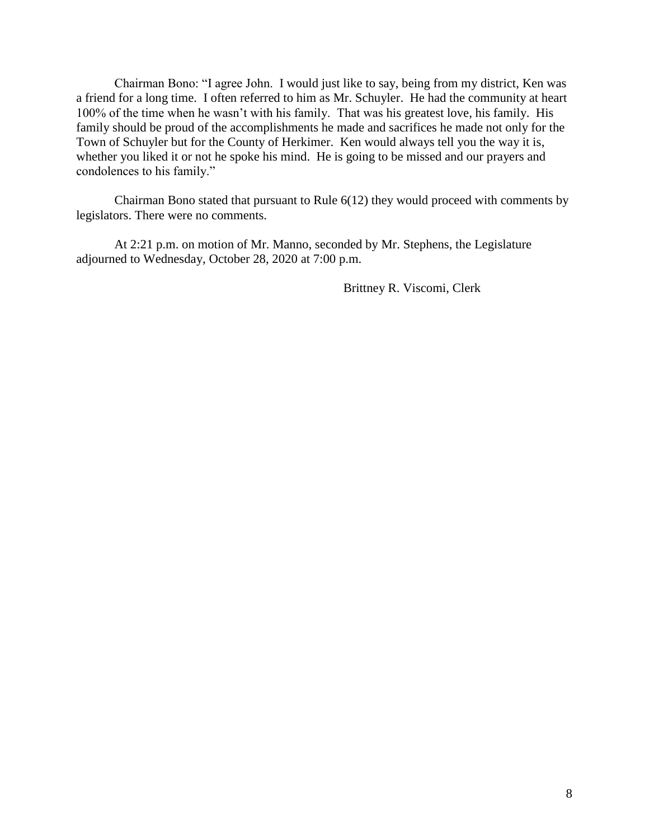Chairman Bono: "I agree John. I would just like to say, being from my district, Ken was a friend for a long time. I often referred to him as Mr. Schuyler. He had the community at heart 100% of the time when he wasn't with his family. That was his greatest love, his family. His family should be proud of the accomplishments he made and sacrifices he made not only for the Town of Schuyler but for the County of Herkimer. Ken would always tell you the way it is, whether you liked it or not he spoke his mind. He is going to be missed and our prayers and condolences to his family."

Chairman Bono stated that pursuant to Rule 6(12) they would proceed with comments by legislators. There were no comments.

At 2:21 p.m. on motion of Mr. Manno, seconded by Mr. Stephens, the Legislature adjourned to Wednesday, October 28, 2020 at 7:00 p.m.

Brittney R. Viscomi, Clerk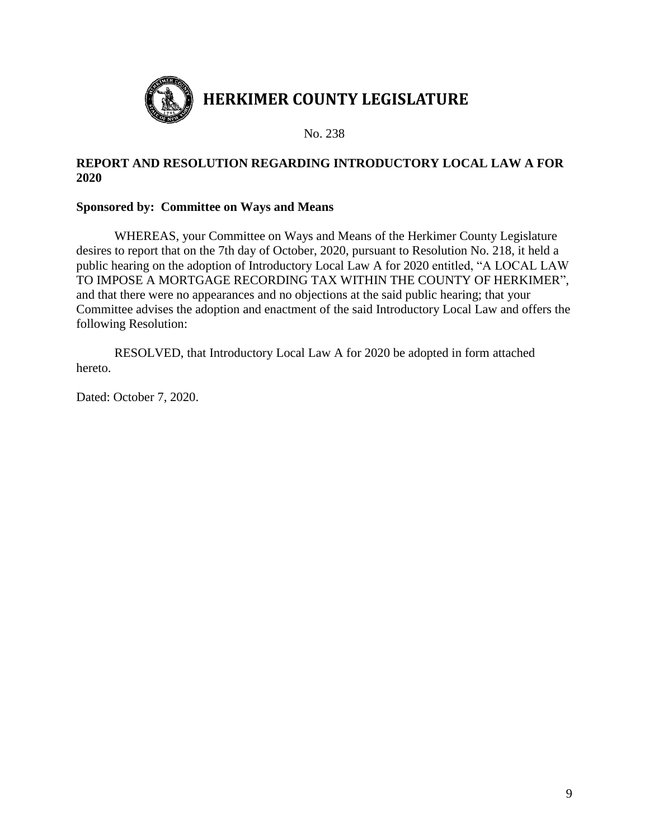

### **REPORT AND RESOLUTION REGARDING INTRODUCTORY LOCAL LAW A FOR 2020**

### **Sponsored by: Committee on Ways and Means**

WHEREAS, your Committee on Ways and Means of the Herkimer County Legislature desires to report that on the 7th day of October, 2020, pursuant to Resolution No. 218, it held a public hearing on the adoption of Introductory Local Law A for 2020 entitled, "A LOCAL LAW TO IMPOSE A MORTGAGE RECORDING TAX WITHIN THE COUNTY OF HERKIMER", and that there were no appearances and no objections at the said public hearing; that your Committee advises the adoption and enactment of the said Introductory Local Law and offers the following Resolution:

RESOLVED, that Introductory Local Law A for 2020 be adopted in form attached hereto.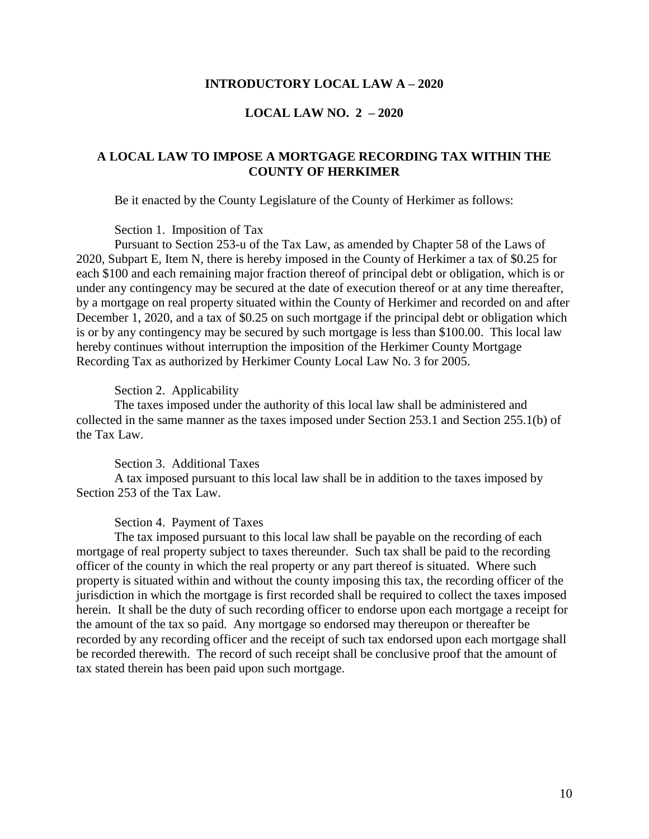#### **INTRODUCTORY LOCAL LAW A – 2020**

#### **LOCAL LAW NO. 2 – 2020**

### **A LOCAL LAW TO IMPOSE A MORTGAGE RECORDING TAX WITHIN THE COUNTY OF HERKIMER**

Be it enacted by the County Legislature of the County of Herkimer as follows:

#### Section 1. Imposition of Tax

Pursuant to Section 253-u of the Tax Law, as amended by Chapter 58 of the Laws of 2020, Subpart E, Item N, there is hereby imposed in the County of Herkimer a tax of \$0.25 for each \$100 and each remaining major fraction thereof of principal debt or obligation, which is or under any contingency may be secured at the date of execution thereof or at any time thereafter, by a mortgage on real property situated within the County of Herkimer and recorded on and after December 1, 2020, and a tax of \$0.25 on such mortgage if the principal debt or obligation which is or by any contingency may be secured by such mortgage is less than \$100.00. This local law hereby continues without interruption the imposition of the Herkimer County Mortgage Recording Tax as authorized by Herkimer County Local Law No. 3 for 2005.

#### Section 2. Applicability

The taxes imposed under the authority of this local law shall be administered and collected in the same manner as the taxes imposed under Section 253.1 and Section 255.1(b) of the Tax Law.

#### Section 3. Additional Taxes

A tax imposed pursuant to this local law shall be in addition to the taxes imposed by Section 253 of the Tax Law.

#### Section 4. Payment of Taxes

The tax imposed pursuant to this local law shall be payable on the recording of each mortgage of real property subject to taxes thereunder. Such tax shall be paid to the recording officer of the county in which the real property or any part thereof is situated. Where such property is situated within and without the county imposing this tax, the recording officer of the jurisdiction in which the mortgage is first recorded shall be required to collect the taxes imposed herein. It shall be the duty of such recording officer to endorse upon each mortgage a receipt for the amount of the tax so paid. Any mortgage so endorsed may thereupon or thereafter be recorded by any recording officer and the receipt of such tax endorsed upon each mortgage shall be recorded therewith. The record of such receipt shall be conclusive proof that the amount of tax stated therein has been paid upon such mortgage.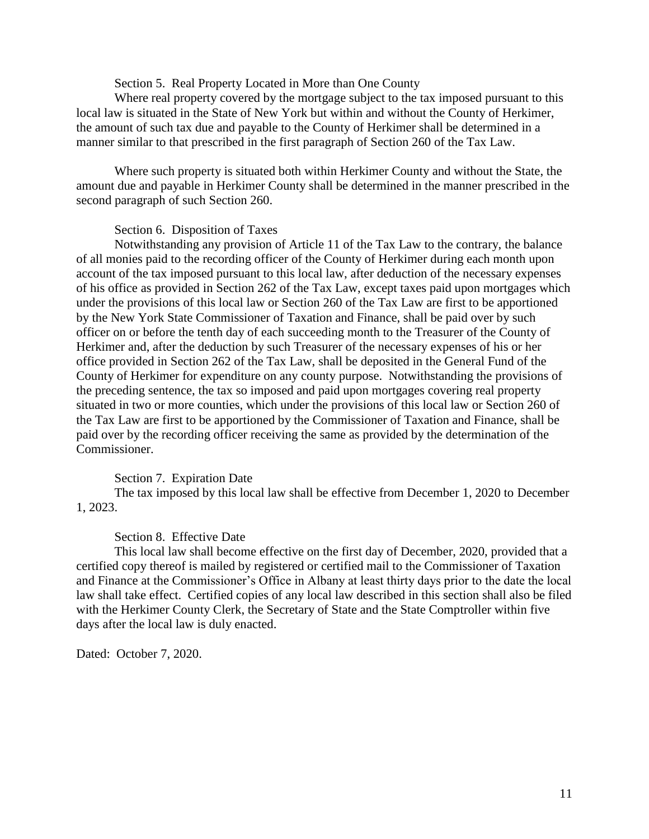Section 5. Real Property Located in More than One County

Where real property covered by the mortgage subject to the tax imposed pursuant to this local law is situated in the State of New York but within and without the County of Herkimer, the amount of such tax due and payable to the County of Herkimer shall be determined in a manner similar to that prescribed in the first paragraph of Section 260 of the Tax Law.

Where such property is situated both within Herkimer County and without the State, the amount due and payable in Herkimer County shall be determined in the manner prescribed in the second paragraph of such Section 260.

#### Section 6. Disposition of Taxes

Notwithstanding any provision of Article 11 of the Tax Law to the contrary, the balance of all monies paid to the recording officer of the County of Herkimer during each month upon account of the tax imposed pursuant to this local law, after deduction of the necessary expenses of his office as provided in Section 262 of the Tax Law, except taxes paid upon mortgages which under the provisions of this local law or Section 260 of the Tax Law are first to be apportioned by the New York State Commissioner of Taxation and Finance, shall be paid over by such officer on or before the tenth day of each succeeding month to the Treasurer of the County of Herkimer and, after the deduction by such Treasurer of the necessary expenses of his or her office provided in Section 262 of the Tax Law, shall be deposited in the General Fund of the County of Herkimer for expenditure on any county purpose. Notwithstanding the provisions of the preceding sentence, the tax so imposed and paid upon mortgages covering real property situated in two or more counties, which under the provisions of this local law or Section 260 of the Tax Law are first to be apportioned by the Commissioner of Taxation and Finance, shall be paid over by the recording officer receiving the same as provided by the determination of the Commissioner.

#### Section 7. Expiration Date

The tax imposed by this local law shall be effective from December 1, 2020 to December 1, 2023.

#### Section 8. Effective Date

This local law shall become effective on the first day of December, 2020, provided that a certified copy thereof is mailed by registered or certified mail to the Commissioner of Taxation and Finance at the Commissioner's Office in Albany at least thirty days prior to the date the local law shall take effect. Certified copies of any local law described in this section shall also be filed with the Herkimer County Clerk, the Secretary of State and the State Comptroller within five days after the local law is duly enacted.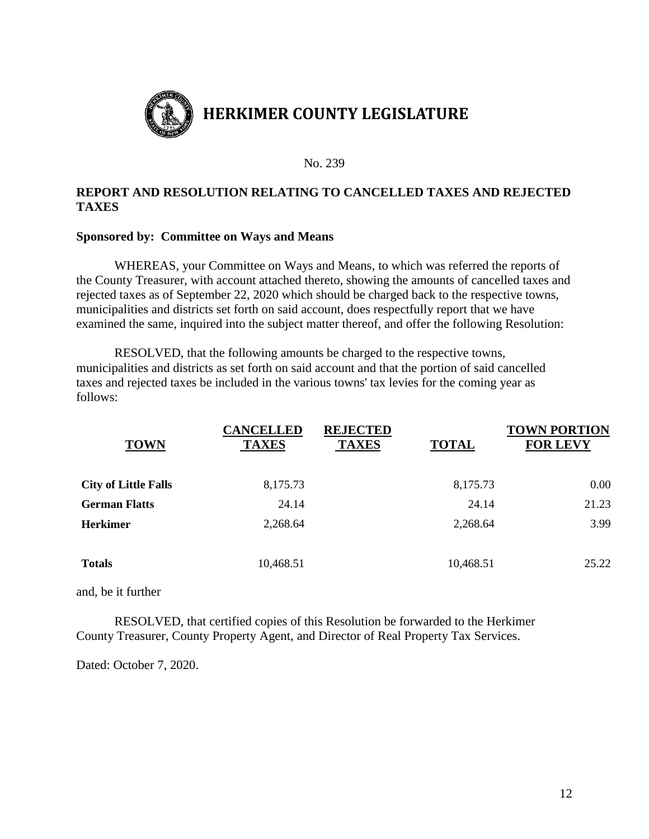

# **REPORT AND RESOLUTION RELATING TO CANCELLED TAXES AND REJECTED TAXES**

### **Sponsored by: Committee on Ways and Means**

WHEREAS, your Committee on Ways and Means, to which was referred the reports of the County Treasurer, with account attached thereto, showing the amounts of cancelled taxes and rejected taxes as of September 22, 2020 which should be charged back to the respective towns, municipalities and districts set forth on said account, does respectfully report that we have examined the same, inquired into the subject matter thereof, and offer the following Resolution:

RESOLVED, that the following amounts be charged to the respective towns, municipalities and districts as set forth on said account and that the portion of said cancelled taxes and rejected taxes be included in the various towns' tax levies for the coming year as follows:

| <b>TOWN</b>                 | <b>CANCELLED</b><br><b>TAXES</b> | <b>REJECTED</b><br><b>TAXES</b> | <b>TOTAL</b> | <b>TOWN PORTION</b><br><b>FOR LEVY</b> |
|-----------------------------|----------------------------------|---------------------------------|--------------|----------------------------------------|
| <b>City of Little Falls</b> | 8,175.73                         |                                 | 8,175.73     | 0.00                                   |
| <b>German Flatts</b>        | 24.14                            |                                 | 24.14        | 21.23                                  |
| <b>Herkimer</b>             | 2,268.64                         |                                 | 2,268.64     | 3.99                                   |
| <b>Totals</b>               | 10,468.51                        |                                 | 10,468.51    | 25.22                                  |

and, be it further

RESOLVED, that certified copies of this Resolution be forwarded to the Herkimer County Treasurer, County Property Agent, and Director of Real Property Tax Services.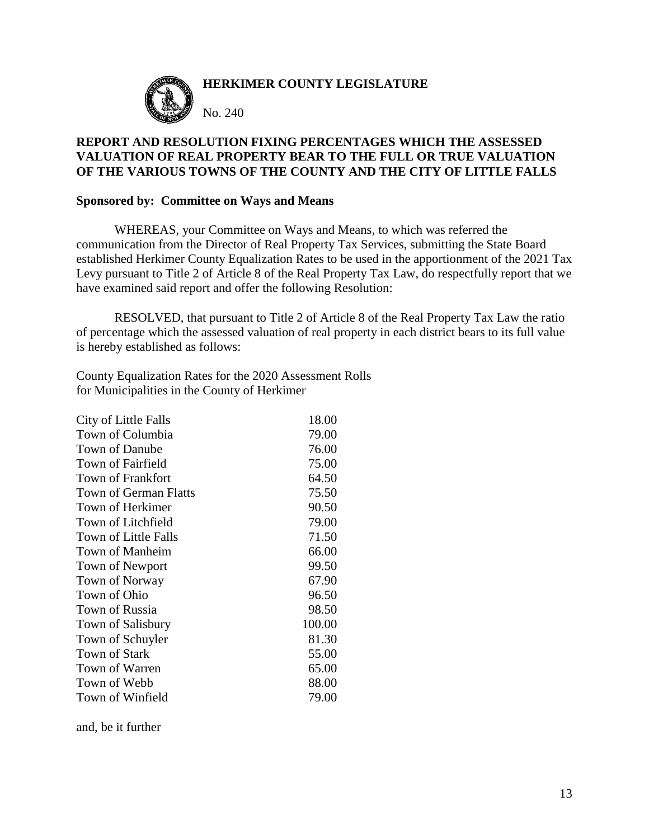

### **HERKIMER COUNTY LEGISLATURE**

No. 240

### **REPORT AND RESOLUTION FIXING PERCENTAGES WHICH THE ASSESSED VALUATION OF REAL PROPERTY BEAR TO THE FULL OR TRUE VALUATION OF THE VARIOUS TOWNS OF THE COUNTY AND THE CITY OF LITTLE FALLS**

#### **Sponsored by: Committee on Ways and Means**

WHEREAS, your Committee on Ways and Means, to which was referred the communication from the Director of Real Property Tax Services, submitting the State Board established Herkimer County Equalization Rates to be used in the apportionment of the 2021 Tax Levy pursuant to Title 2 of Article 8 of the Real Property Tax Law, do respectfully report that we have examined said report and offer the following Resolution:

RESOLVED, that pursuant to Title 2 of Article 8 of the Real Property Tax Law the ratio of percentage which the assessed valuation of real property in each district bears to its full value is hereby established as follows:

County Equalization Rates for the 2020 Assessment Rolls for Municipalities in the County of Herkimer

| City of Little Falls   | 18.00  |
|------------------------|--------|
| Town of Columbia       | 79.00  |
| Town of Danube         | 76.00  |
| Town of Fairfield      | 75.00  |
| Town of Frankfort      | 64.50  |
| Town of German Flatts  | 75.50  |
| Town of Herkimer       | 90.50  |
| Town of Litchfield     | 79.00  |
| Town of Little Falls   | 71.50  |
| <b>Town of Manheim</b> | 66.00  |
| Town of Newport        | 99.50  |
| Town of Norway         | 67.90  |
| Town of Ohio           | 96.50  |
| Town of Russia         | 98.50  |
| Town of Salisbury      | 100.00 |
| Town of Schuyler       | 81.30  |
| Town of Stark          | 55.00  |
| Town of Warren         | 65.00  |
| Town of Webb           | 88.00  |
| Town of Winfield       | 79.00  |

and, be it further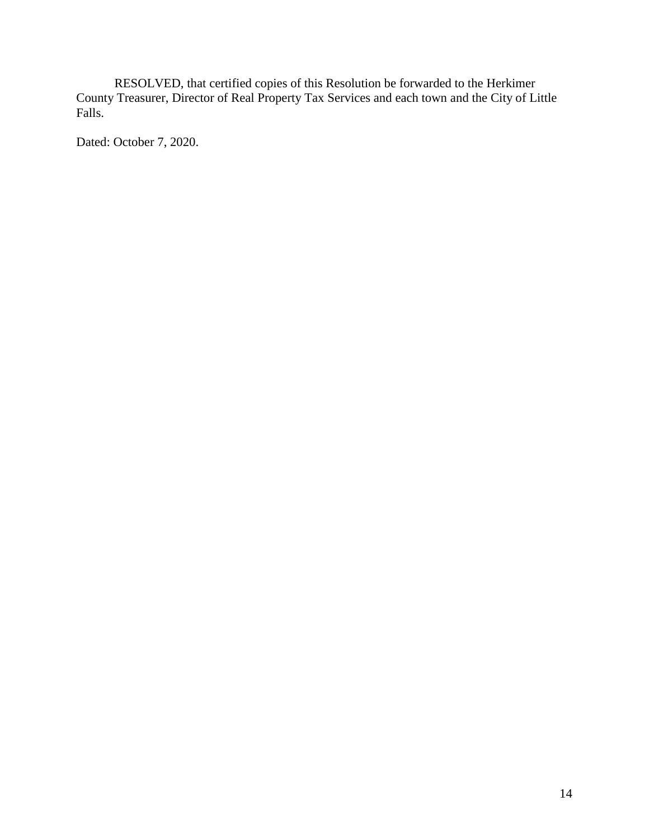RESOLVED, that certified copies of this Resolution be forwarded to the Herkimer County Treasurer, Director of Real Property Tax Services and each town and the City of Little Falls.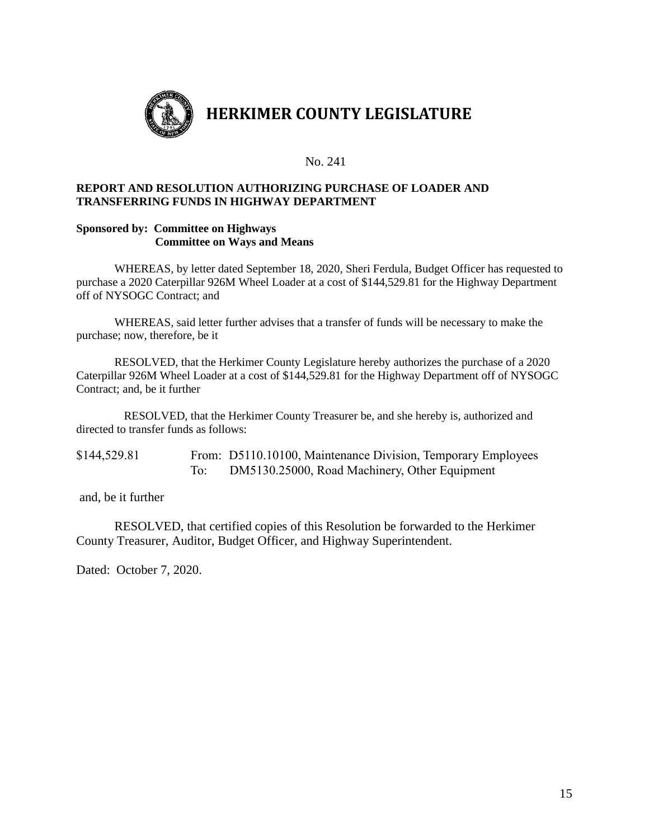

#### **REPORT AND RESOLUTION AUTHORIZING PURCHASE OF LOADER AND TRANSFERRING FUNDS IN HIGHWAY DEPARTMENT**

#### **Sponsored by: Committee on Highways Committee on Ways and Means**

WHEREAS, by letter dated September 18, 2020, Sheri Ferdula, Budget Officer has requested to purchase a 2020 Caterpillar 926M Wheel Loader at a cost of \$144,529.81 for the Highway Department off of NYSOGC Contract; and

WHEREAS, said letter further advises that a transfer of funds will be necessary to make the purchase; now, therefore, be it

RESOLVED, that the Herkimer County Legislature hereby authorizes the purchase of a 2020 Caterpillar 926M Wheel Loader at a cost of \$144,529.81 for the Highway Department off of NYSOGC Contract; and, be it further

RESOLVED, that the Herkimer County Treasurer be, and she hereby is, authorized and directed to transfer funds as follows:

\$144,529.81 From: D5110.10100, Maintenance Division, Temporary Employees To: DM5130.25000, Road Machinery, Other Equipment

and, be it further

RESOLVED, that certified copies of this Resolution be forwarded to the Herkimer County Treasurer, Auditor, Budget Officer, and Highway Superintendent.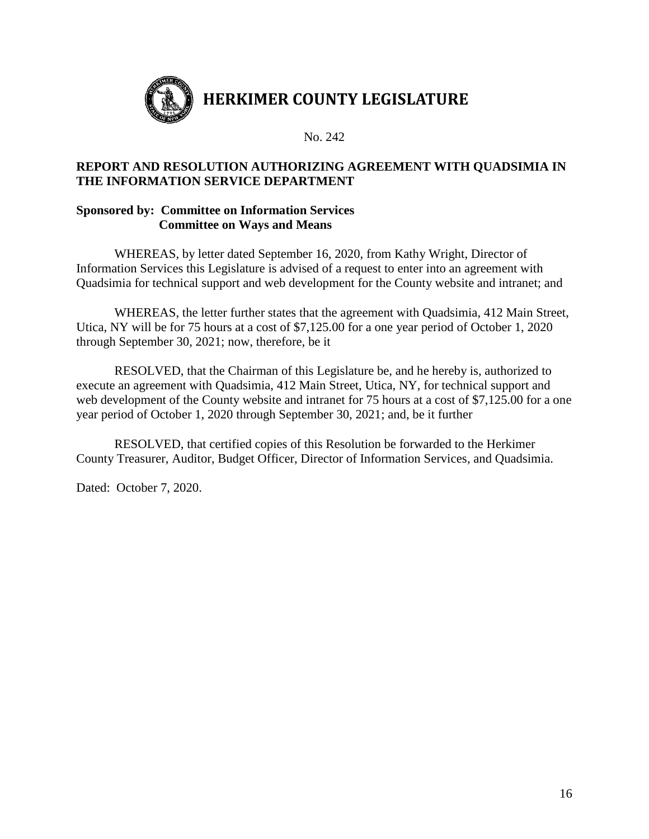

### **REPORT AND RESOLUTION AUTHORIZING AGREEMENT WITH QUADSIMIA IN THE INFORMATION SERVICE DEPARTMENT**

### **Sponsored by: Committee on Information Services Committee on Ways and Means**

WHEREAS, by letter dated September 16, 2020, from Kathy Wright, Director of Information Services this Legislature is advised of a request to enter into an agreement with Quadsimia for technical support and web development for the County website and intranet; and

WHEREAS, the letter further states that the agreement with Quadsimia, 412 Main Street, Utica, NY will be for 75 hours at a cost of \$7,125.00 for a one year period of October 1, 2020 through September 30, 2021; now, therefore, be it

RESOLVED, that the Chairman of this Legislature be, and he hereby is, authorized to execute an agreement with Quadsimia, 412 Main Street, Utica, NY, for technical support and web development of the County website and intranet for 75 hours at a cost of \$7,125.00 for a one year period of October 1, 2020 through September 30, 2021; and, be it further

RESOLVED, that certified copies of this Resolution be forwarded to the Herkimer County Treasurer, Auditor, Budget Officer, Director of Information Services, and Quadsimia.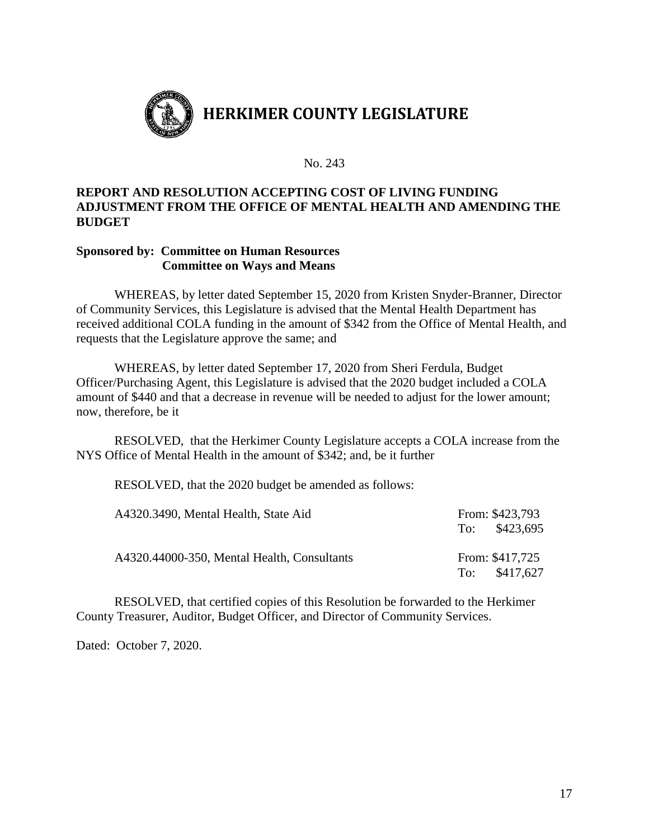

### **REPORT AND RESOLUTION ACCEPTING COST OF LIVING FUNDING ADJUSTMENT FROM THE OFFICE OF MENTAL HEALTH AND AMENDING THE BUDGET**

### **Sponsored by: Committee on Human Resources Committee on Ways and Means**

WHEREAS, by letter dated September 15, 2020 from Kristen Snyder-Branner, Director of Community Services, this Legislature is advised that the Mental Health Department has received additional COLA funding in the amount of \$342 from the Office of Mental Health, and requests that the Legislature approve the same; and

WHEREAS, by letter dated September 17, 2020 from Sheri Ferdula, Budget Officer/Purchasing Agent, this Legislature is advised that the 2020 budget included a COLA amount of \$440 and that a decrease in revenue will be needed to adjust for the lower amount; now, therefore, be it

RESOLVED, that the Herkimer County Legislature accepts a COLA increase from the NYS Office of Mental Health in the amount of \$342; and, be it further

RESOLVED, that the 2020 budget be amended as follows:

| A4320.3490, Mental Health, State Aid        |     | From: \$423,793<br>To: \$423,695 |
|---------------------------------------------|-----|----------------------------------|
| A4320.44000-350, Mental Health, Consultants | To: | From: \$417,725<br>\$417,627     |

RESOLVED, that certified copies of this Resolution be forwarded to the Herkimer County Treasurer, Auditor, Budget Officer, and Director of Community Services.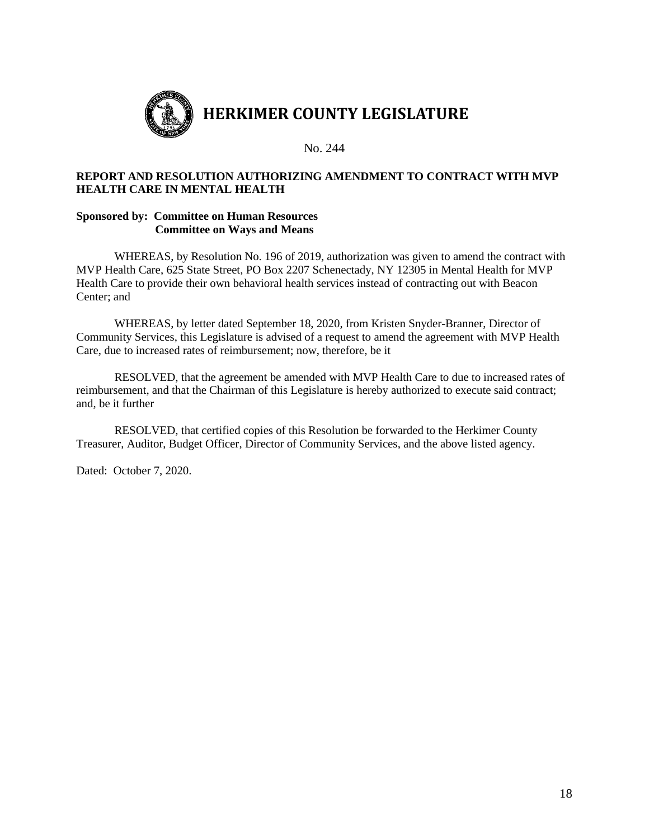

#### **REPORT AND RESOLUTION AUTHORIZING AMENDMENT TO CONTRACT WITH MVP HEALTH CARE IN MENTAL HEALTH**

#### **Sponsored by: Committee on Human Resources Committee on Ways and Means**

WHEREAS, by Resolution No. 196 of 2019, authorization was given to amend the contract with MVP Health Care, 625 State Street, PO Box 2207 Schenectady, NY 12305 in Mental Health for MVP Health Care to provide their own behavioral health services instead of contracting out with Beacon Center; and

WHEREAS, by letter dated September 18, 2020, from Kristen Snyder-Branner, Director of Community Services, this Legislature is advised of a request to amend the agreement with MVP Health Care, due to increased rates of reimbursement; now, therefore, be it

RESOLVED, that the agreement be amended with MVP Health Care to due to increased rates of reimbursement, and that the Chairman of this Legislature is hereby authorized to execute said contract; and, be it further

RESOLVED, that certified copies of this Resolution be forwarded to the Herkimer County Treasurer, Auditor, Budget Officer, Director of Community Services, and the above listed agency.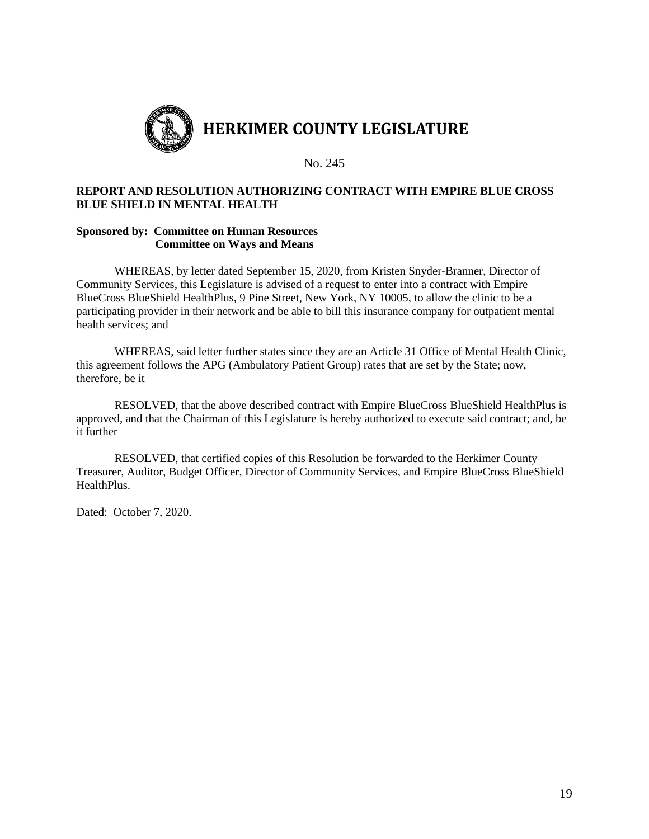

#### **REPORT AND RESOLUTION AUTHORIZING CONTRACT WITH EMPIRE BLUE CROSS BLUE SHIELD IN MENTAL HEALTH**

#### **Sponsored by: Committee on Human Resources Committee on Ways and Means**

WHEREAS, by letter dated September 15, 2020, from Kristen Snyder-Branner, Director of Community Services, this Legislature is advised of a request to enter into a contract with Empire BlueCross BlueShield HealthPlus, 9 Pine Street, New York, NY 10005, to allow the clinic to be a participating provider in their network and be able to bill this insurance company for outpatient mental health services; and

WHEREAS, said letter further states since they are an Article 31 Office of Mental Health Clinic, this agreement follows the APG (Ambulatory Patient Group) rates that are set by the State; now, therefore, be it

RESOLVED, that the above described contract with Empire BlueCross BlueShield HealthPlus is approved, and that the Chairman of this Legislature is hereby authorized to execute said contract; and, be it further

RESOLVED, that certified copies of this Resolution be forwarded to the Herkimer County Treasurer, Auditor, Budget Officer, Director of Community Services, and Empire BlueCross BlueShield HealthPlus.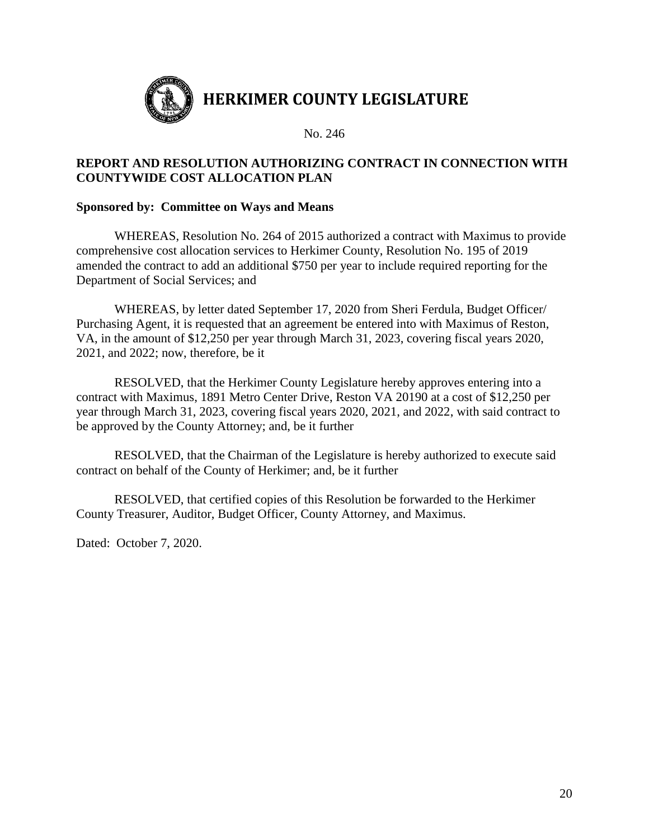

# **REPORT AND RESOLUTION AUTHORIZING CONTRACT IN CONNECTION WITH COUNTYWIDE COST ALLOCATION PLAN**

### **Sponsored by: Committee on Ways and Means**

WHEREAS, Resolution No. 264 of 2015 authorized a contract with Maximus to provide comprehensive cost allocation services to Herkimer County, Resolution No. 195 of 2019 amended the contract to add an additional \$750 per year to include required reporting for the Department of Social Services; and

WHEREAS, by letter dated September 17, 2020 from Sheri Ferdula, Budget Officer/ Purchasing Agent, it is requested that an agreement be entered into with Maximus of Reston, VA, in the amount of \$12,250 per year through March 31, 2023, covering fiscal years 2020, 2021, and 2022; now, therefore, be it

RESOLVED, that the Herkimer County Legislature hereby approves entering into a contract with Maximus, 1891 Metro Center Drive, Reston VA 20190 at a cost of \$12,250 per year through March 31, 2023, covering fiscal years 2020, 2021, and 2022, with said contract to be approved by the County Attorney; and, be it further

RESOLVED, that the Chairman of the Legislature is hereby authorized to execute said contract on behalf of the County of Herkimer; and, be it further

RESOLVED, that certified copies of this Resolution be forwarded to the Herkimer County Treasurer, Auditor, Budget Officer, County Attorney, and Maximus.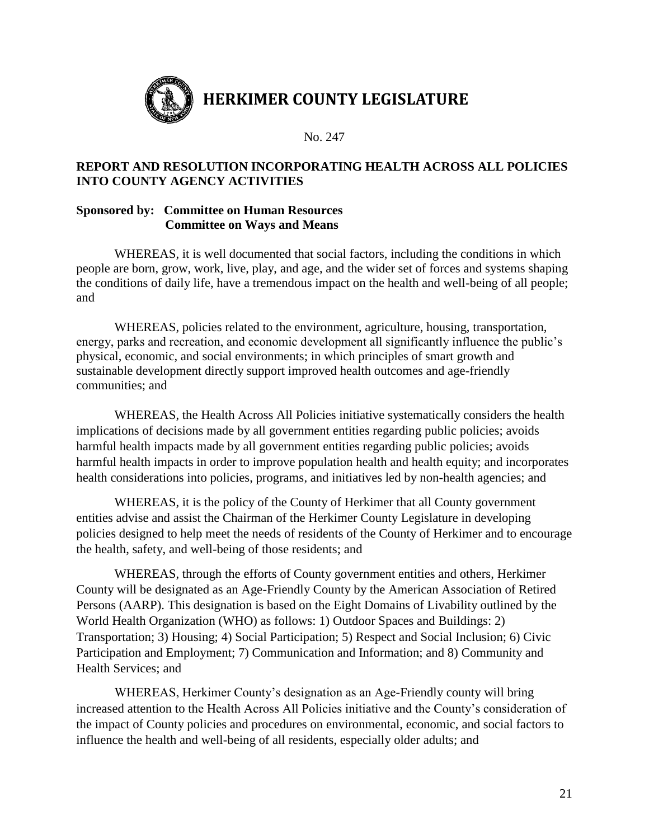

# **REPORT AND RESOLUTION INCORPORATING HEALTH ACROSS ALL POLICIES INTO COUNTY AGENCY ACTIVITIES**

### **Sponsored by: Committee on Human Resources Committee on Ways and Means**

WHEREAS, it is well documented that social factors, including the conditions in which people are born, grow, work, live, play, and age, and the wider set of forces and systems shaping the conditions of daily life, have a tremendous impact on the health and well-being of all people; and

WHEREAS, policies related to the environment, agriculture, housing, transportation, energy, parks and recreation, and economic development all significantly influence the public's physical, economic, and social environments; in which principles of smart growth and sustainable development directly support improved health outcomes and age-friendly communities; and

WHEREAS, the Health Across All Policies initiative systematically considers the health implications of decisions made by all government entities regarding public policies; avoids harmful health impacts made by all government entities regarding public policies; avoids harmful health impacts in order to improve population health and health equity; and incorporates health considerations into policies, programs, and initiatives led by non-health agencies; and

WHEREAS, it is the policy of the County of Herkimer that all County government entities advise and assist the Chairman of the Herkimer County Legislature in developing policies designed to help meet the needs of residents of the County of Herkimer and to encourage the health, safety, and well-being of those residents; and

WHEREAS, through the efforts of County government entities and others, Herkimer County will be designated as an Age-Friendly County by the American Association of Retired Persons (AARP). This designation is based on the Eight Domains of Livability outlined by the World Health Organization (WHO) as follows: 1) Outdoor Spaces and Buildings: 2) Transportation; 3) Housing; 4) Social Participation; 5) Respect and Social Inclusion; 6) Civic Participation and Employment; 7) Communication and Information; and 8) Community and Health Services; and

WHEREAS, Herkimer County's designation as an Age-Friendly county will bring increased attention to the Health Across All Policies initiative and the County's consideration of the impact of County policies and procedures on environmental, economic, and social factors to influence the health and well-being of all residents, especially older adults; and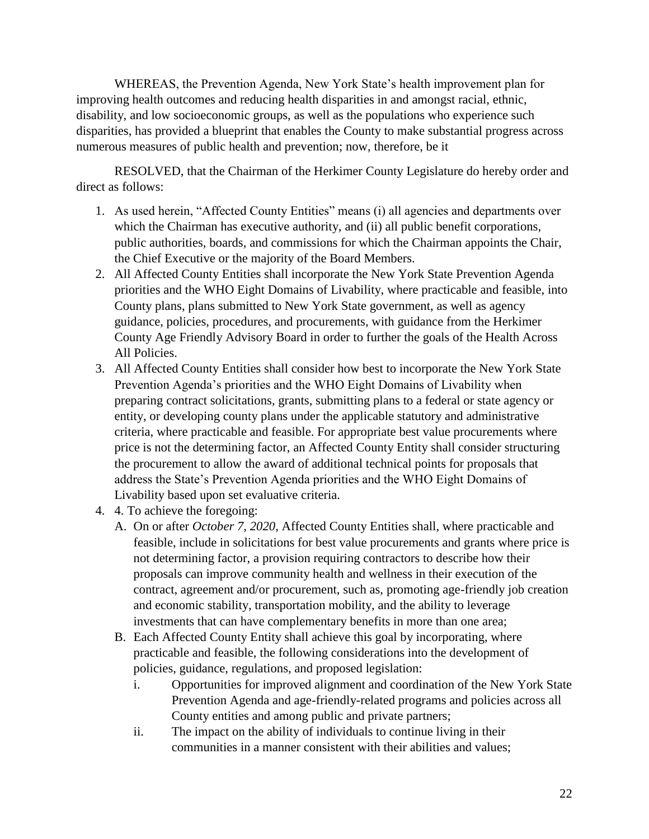WHEREAS, the Prevention Agenda, New York State's health improvement plan for improving health outcomes and reducing health disparities in and amongst racial, ethnic, disability, and low socioeconomic groups, as well as the populations who experience such disparities, has provided a blueprint that enables the County to make substantial progress across numerous measures of public health and prevention; now, therefore, be it

RESOLVED, that the Chairman of the Herkimer County Legislature do hereby order and direct as follows:

- 1. As used herein, "Affected County Entities" means (i) all agencies and departments over which the Chairman has executive authority, and (ii) all public benefit corporations, public authorities, boards, and commissions for which the Chairman appoints the Chair, the Chief Executive or the majority of the Board Members.
- 2. All Affected County Entities shall incorporate the New York State Prevention Agenda priorities and the WHO Eight Domains of Livability, where practicable and feasible, into County plans, plans submitted to New York State government, as well as agency guidance, policies, procedures, and procurements, with guidance from the Herkimer County Age Friendly Advisory Board in order to further the goals of the Health Across All Policies.
- 3. All Affected County Entities shall consider how best to incorporate the New York State Prevention Agenda's priorities and the WHO Eight Domains of Livability when preparing contract solicitations, grants, submitting plans to a federal or state agency or entity, or developing county plans under the applicable statutory and administrative criteria, where practicable and feasible. For appropriate best value procurements where price is not the determining factor, an Affected County Entity shall consider structuring the procurement to allow the award of additional technical points for proposals that address the State's Prevention Agenda priorities and the WHO Eight Domains of Livability based upon set evaluative criteria.
- 4. 4. To achieve the foregoing:
	- A. On or after *October 7, 2020*, Affected County Entities shall, where practicable and feasible, include in solicitations for best value procurements and grants where price is not determining factor, a provision requiring contractors to describe how their proposals can improve community health and wellness in their execution of the contract, agreement and/or procurement, such as, promoting age-friendly job creation and economic stability, transportation mobility, and the ability to leverage investments that can have complementary benefits in more than one area;
	- B. Each Affected County Entity shall achieve this goal by incorporating, where practicable and feasible, the following considerations into the development of policies, guidance, regulations, and proposed legislation:
		- i. Opportunities for improved alignment and coordination of the New York State Prevention Agenda and age-friendly-related programs and policies across all County entities and among public and private partners;
		- ii. The impact on the ability of individuals to continue living in their communities in a manner consistent with their abilities and values;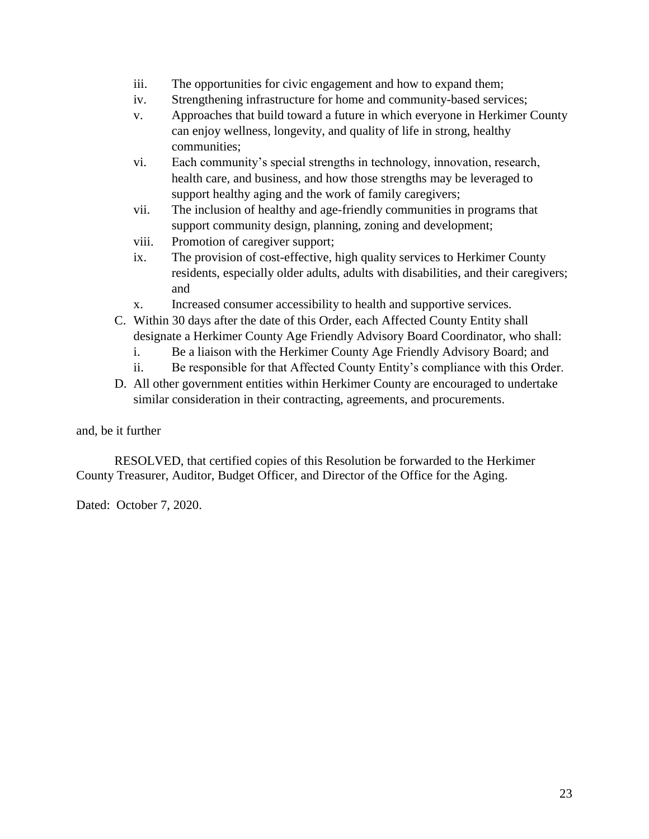- iii. The opportunities for civic engagement and how to expand them;
- iv. Strengthening infrastructure for home and community-based services;
- v. Approaches that build toward a future in which everyone in Herkimer County can enjoy wellness, longevity, and quality of life in strong, healthy communities;
- vi. Each community's special strengths in technology, innovation, research, health care, and business, and how those strengths may be leveraged to support healthy aging and the work of family caregivers;
- vii. The inclusion of healthy and age-friendly communities in programs that support community design, planning, zoning and development;
- viii. Promotion of caregiver support;
- ix. The provision of cost-effective, high quality services to Herkimer County residents, especially older adults, adults with disabilities, and their caregivers; and
- x. Increased consumer accessibility to health and supportive services.
- C. Within 30 days after the date of this Order, each Affected County Entity shall designate a Herkimer County Age Friendly Advisory Board Coordinator, who shall:
	- i. Be a liaison with the Herkimer County Age Friendly Advisory Board; and
	- ii. Be responsible for that Affected County Entity's compliance with this Order.
- D. All other government entities within Herkimer County are encouraged to undertake similar consideration in their contracting, agreements, and procurements.

### and, be it further

RESOLVED, that certified copies of this Resolution be forwarded to the Herkimer County Treasurer, Auditor, Budget Officer, and Director of the Office for the Aging.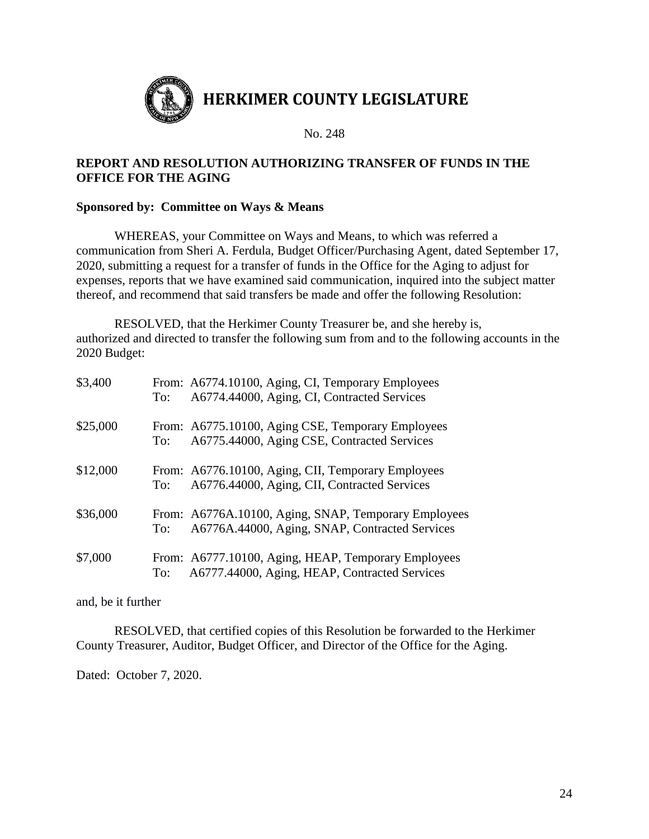

### **REPORT AND RESOLUTION AUTHORIZING TRANSFER OF FUNDS IN THE OFFICE FOR THE AGING**

### **Sponsored by: Committee on Ways & Means**

WHEREAS, your Committee on Ways and Means, to which was referred a communication from Sheri A. Ferdula, Budget Officer/Purchasing Agent, dated September 17, 2020, submitting a request for a transfer of funds in the Office for the Aging to adjust for expenses, reports that we have examined said communication, inquired into the subject matter thereof, and recommend that said transfers be made and offer the following Resolution:

RESOLVED, that the Herkimer County Treasurer be, and she hereby is, authorized and directed to transfer the following sum from and to the following accounts in the 2020 Budget:

| \$3,400  | To: | From: A6774.10100, Aging, CI, Temporary Employees<br>A6774.44000, Aging, CI, Contracted Services       |
|----------|-----|--------------------------------------------------------------------------------------------------------|
| \$25,000 | To: | From: A6775.10100, Aging CSE, Temporary Employees<br>A6775.44000, Aging CSE, Contracted Services       |
| \$12,000 | To: | From: A6776.10100, Aging, CII, Temporary Employees<br>A6776.44000, Aging, CII, Contracted Services     |
| \$36,000 | To: | From: A6776A.10100, Aging, SNAP, Temporary Employees<br>A6776A.44000, Aging, SNAP, Contracted Services |
| \$7,000  | To: | From: A6777.10100, Aging, HEAP, Temporary Employees<br>A6777.44000, Aging, HEAP, Contracted Services   |

and, be it further

RESOLVED, that certified copies of this Resolution be forwarded to the Herkimer County Treasurer, Auditor, Budget Officer, and Director of the Office for the Aging.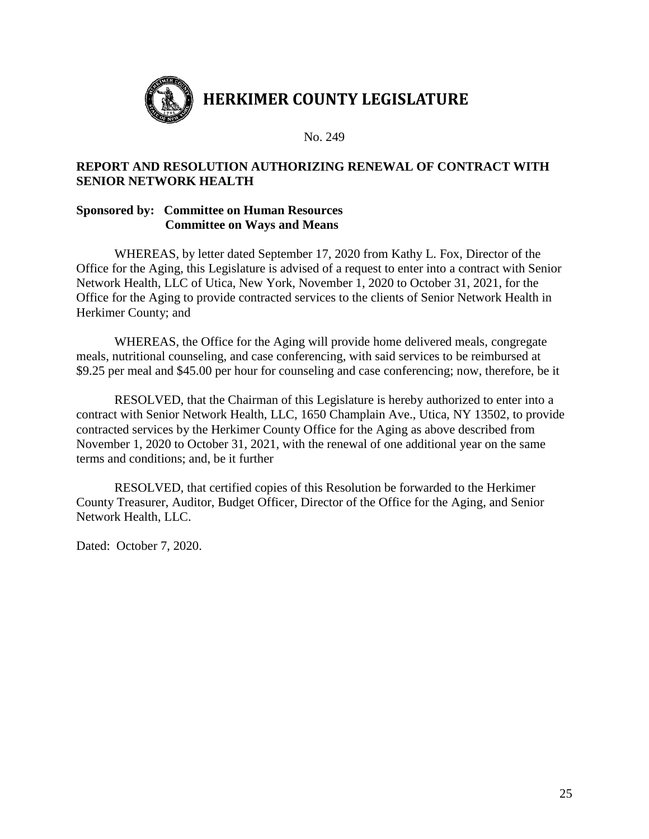

### **REPORT AND RESOLUTION AUTHORIZING RENEWAL OF CONTRACT WITH SENIOR NETWORK HEALTH**

### **Sponsored by: Committee on Human Resources Committee on Ways and Means**

WHEREAS, by letter dated September 17, 2020 from Kathy L. Fox, Director of the Office for the Aging, this Legislature is advised of a request to enter into a contract with Senior Network Health, LLC of Utica, New York, November 1, 2020 to October 31, 2021, for the Office for the Aging to provide contracted services to the clients of Senior Network Health in Herkimer County; and

WHEREAS, the Office for the Aging will provide home delivered meals, congregate meals, nutritional counseling, and case conferencing, with said services to be reimbursed at \$9.25 per meal and \$45.00 per hour for counseling and case conferencing; now, therefore, be it

RESOLVED, that the Chairman of this Legislature is hereby authorized to enter into a contract with Senior Network Health, LLC, 1650 Champlain Ave., Utica, NY 13502, to provide contracted services by the Herkimer County Office for the Aging as above described from November 1, 2020 to October 31, 2021, with the renewal of one additional year on the same terms and conditions; and, be it further

RESOLVED, that certified copies of this Resolution be forwarded to the Herkimer County Treasurer, Auditor, Budget Officer, Director of the Office for the Aging, and Senior Network Health, LLC.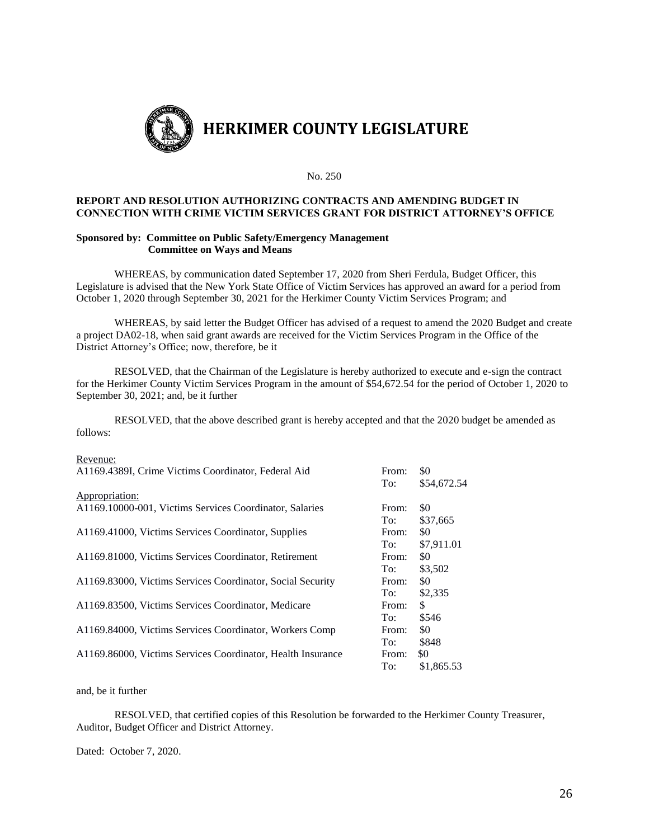

#### **REPORT AND RESOLUTION AUTHORIZING CONTRACTS AND AMENDING BUDGET IN CONNECTION WITH CRIME VICTIM SERVICES GRANT FOR DISTRICT ATTORNEY'S OFFICE**

#### **Sponsored by: Committee on Public Safety/Emergency Management Committee on Ways and Means**

WHEREAS, by communication dated September 17, 2020 from Sheri Ferdula, Budget Officer, this Legislature is advised that the New York State Office of Victim Services has approved an award for a period from October 1, 2020 through September 30, 2021 for the Herkimer County Victim Services Program; and

WHEREAS, by said letter the Budget Officer has advised of a request to amend the 2020 Budget and create a project DA02-18, when said grant awards are received for the Victim Services Program in the Office of the District Attorney's Office; now, therefore, be it

RESOLVED, that the Chairman of the Legislature is hereby authorized to execute and e-sign the contract for the Herkimer County Victim Services Program in the amount of \$54,672.54 for the period of October 1, 2020 to September 30, 2021; and, be it further

RESOLVED, that the above described grant is hereby accepted and that the 2020 budget be amended as follows:

#### Revenue:

| A1169.4389I, Crime Victims Coordinator, Federal Aid         | From:<br>To: | \$0<br>\$54,672.54 |
|-------------------------------------------------------------|--------------|--------------------|
| Appropriation:                                              |              |                    |
| A1169.10000-001, Victims Services Coordinator, Salaries     | From:        | \$0                |
|                                                             | To:          | \$37,665           |
| A1169.41000, Victims Services Coordinator, Supplies         | From:        | \$0                |
|                                                             | To:          | \$7,911.01         |
| A1169.81000, Victims Services Coordinator, Retirement       | From:        | \$0                |
|                                                             | To:          | \$3,502            |
| A1169.83000, Victims Services Coordinator, Social Security  | From:        | \$0                |
|                                                             | To:          | \$2,335            |
| A1169.83500, Victims Services Coordinator, Medicare         | From:        | \$                 |
|                                                             | To:          | \$546              |
| A1169.84000, Victims Services Coordinator, Workers Comp     | From:        | \$0                |
|                                                             | To:          | \$848              |
| A1169.86000, Victims Services Coordinator, Health Insurance | From:        | \$0                |
|                                                             | To:          | \$1,865.53         |

and, be it further

RESOLVED, that certified copies of this Resolution be forwarded to the Herkimer County Treasurer, Auditor, Budget Officer and District Attorney.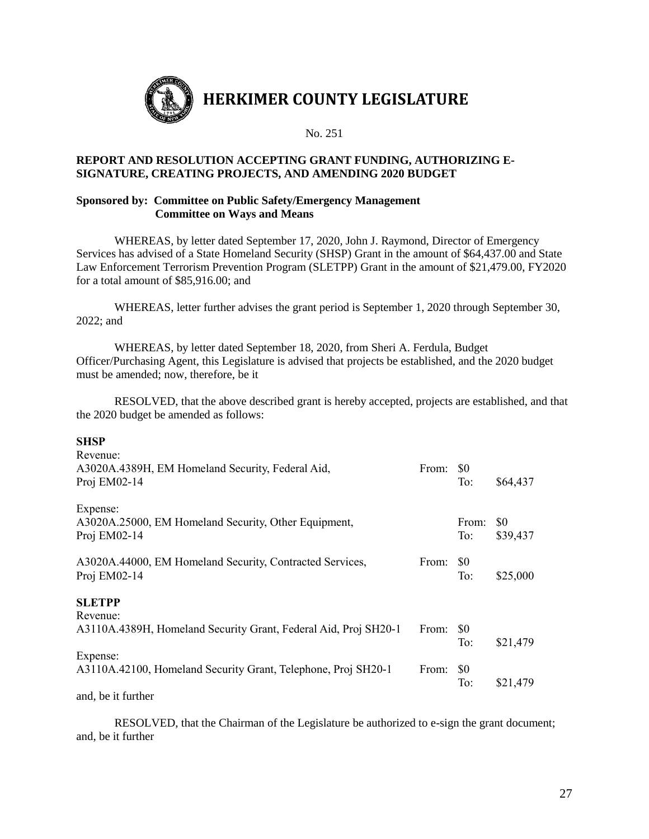

#### **REPORT AND RESOLUTION ACCEPTING GRANT FUNDING, AUTHORIZING E-SIGNATURE, CREATING PROJECTS, AND AMENDING 2020 BUDGET**

#### **Sponsored by: Committee on Public Safety/Emergency Management Committee on Ways and Means**

WHEREAS, by letter dated September 17, 2020, John J. Raymond, Director of Emergency Services has advised of a State Homeland Security (SHSP) Grant in the amount of \$64,437.00 and State Law Enforcement Terrorism Prevention Program (SLETPP) Grant in the amount of \$21,479.00, FY2020 for a total amount of \$85,916.00; and

WHEREAS, letter further advises the grant period is September 1, 2020 through September 30, 2022; and

WHEREAS, by letter dated September 18, 2020, from Sheri A. Ferdula, Budget Officer/Purchasing Agent, this Legislature is advised that projects be established, and the 2020 budget must be amended; now, therefore, be it

RESOLVED, that the above described grant is hereby accepted, projects are established, and that the 2020 budget be amended as follows:

#### **SHSP**

| Revenue:<br>A3020A.4389H, EM Homeland Security, Federal Aid,<br>Proj EM02-14     | From: | <sup>SO</sup><br>To: | \$64,437        |
|----------------------------------------------------------------------------------|-------|----------------------|-----------------|
| Expense:<br>A3020A.25000, EM Homeland Security, Other Equipment,<br>Proj EM02-14 |       | From:<br>To:         | \$0<br>\$39,437 |
| A3020A.44000, EM Homeland Security, Contracted Services,<br>Proj EM02-14         | From: | <sup>SO</sup><br>To: | \$25,000        |
| <b>SLETPP</b>                                                                    |       |                      |                 |
| Revenue:<br>A3110A.4389H, Homeland Security Grant, Federal Aid, Proj SH20-1      | From: | <sup>SO</sup><br>To: | \$21,479        |
| Expense:<br>A3110A.42100, Homeland Security Grant, Telephone, Proj SH20-1        | From: | \$0<br>To:           | \$21,479        |
| 1 1 1 1 1 0 1                                                                    |       |                      |                 |

and, be it further

RESOLVED, that the Chairman of the Legislature be authorized to e-sign the grant document; and, be it further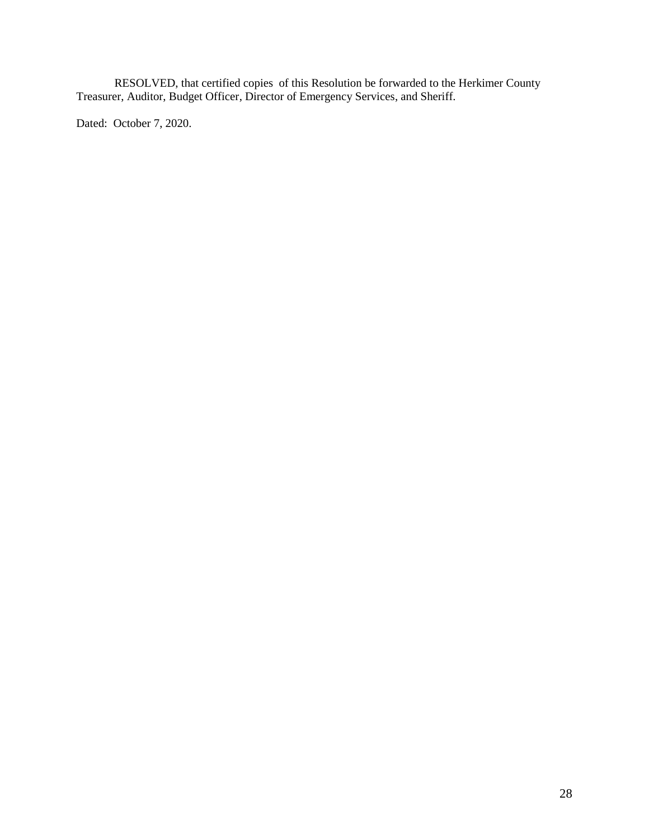RESOLVED, that certified copies of this Resolution be forwarded to the Herkimer County Treasurer, Auditor, Budget Officer, Director of Emergency Services, and Sheriff.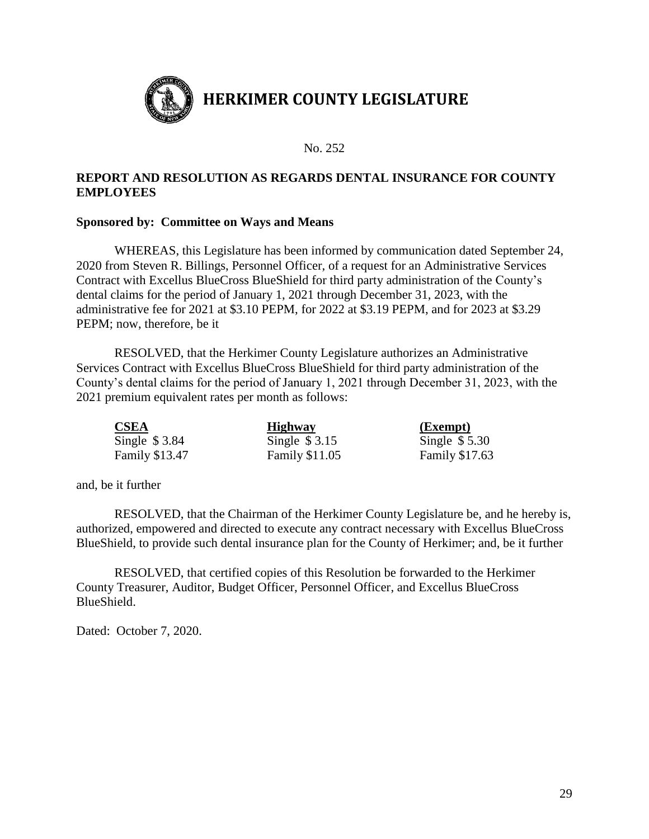

### **REPORT AND RESOLUTION AS REGARDS DENTAL INSURANCE FOR COUNTY EMPLOYEES**

#### **Sponsored by: Committee on Ways and Means**

WHEREAS, this Legislature has been informed by communication dated September 24, 2020 from Steven R. Billings, Personnel Officer, of a request for an Administrative Services Contract with Excellus BlueCross BlueShield for third party administration of the County's dental claims for the period of January 1, 2021 through December 31, 2023, with the administrative fee for 2021 at \$3.10 PEPM, for 2022 at \$3.19 PEPM, and for 2023 at \$3.29 PEPM; now, therefore, be it

RESOLVED, that the Herkimer County Legislature authorizes an Administrative Services Contract with Excellus BlueCross BlueShield for third party administration of the County's dental claims for the period of January 1, 2021 through December 31, 2023, with the 2021 premium equivalent rates per month as follows:

| <b>CSEA</b>           | <b>Highway</b>        | <u>(Exempt)</u> |
|-----------------------|-----------------------|-----------------|
| Single $$3.84$        | Single $$3.15$        | Single $$5.30$  |
| <b>Family \$13.47</b> | <b>Family \$11.05</b> | Family \$17.63  |

and, be it further

RESOLVED, that the Chairman of the Herkimer County Legislature be, and he hereby is, authorized, empowered and directed to execute any contract necessary with Excellus BlueCross BlueShield, to provide such dental insurance plan for the County of Herkimer; and, be it further

RESOLVED, that certified copies of this Resolution be forwarded to the Herkimer County Treasurer, Auditor, Budget Officer, Personnel Officer, and Excellus BlueCross BlueShield.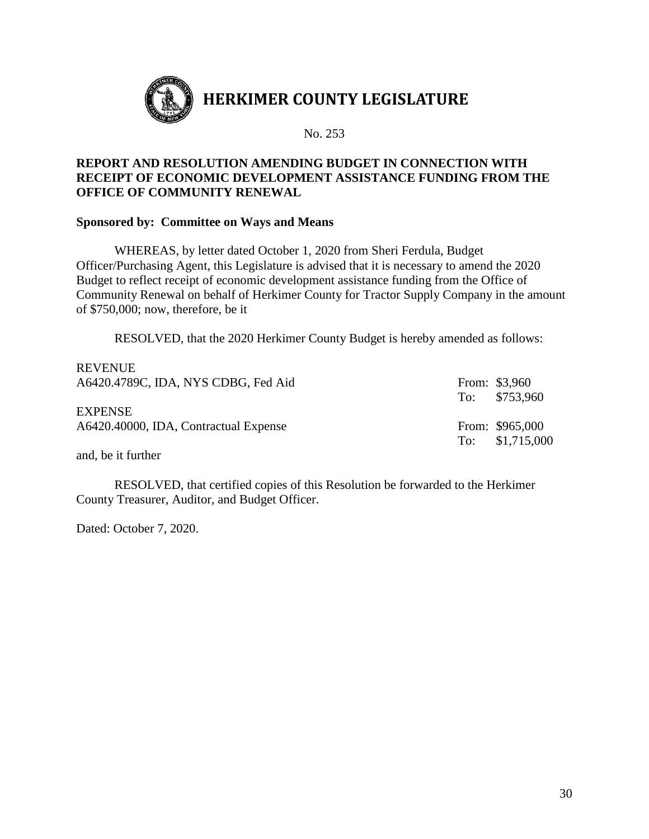

### **REPORT AND RESOLUTION AMENDING BUDGET IN CONNECTION WITH RECEIPT OF ECONOMIC DEVELOPMENT ASSISTANCE FUNDING FROM THE OFFICE OF COMMUNITY RENEWAL**

### **Sponsored by: Committee on Ways and Means**

WHEREAS, by letter dated October 1, 2020 from Sheri Ferdula, Budget Officer/Purchasing Agent, this Legislature is advised that it is necessary to amend the 2020 Budget to reflect receipt of economic development assistance funding from the Office of Community Renewal on behalf of Herkimer County for Tractor Supply Company in the amount of \$750,000; now, therefore, be it

RESOLVED, that the 2020 Herkimer County Budget is hereby amended as follows:

| REVENUE.<br>A6420.4789C, IDA, NYS CDBG, Fed Aid         | From: \$3,960<br>To: \$753,960      |
|---------------------------------------------------------|-------------------------------------|
| <b>EXPENSE</b><br>A6420.40000, IDA, Contractual Expense | From: \$965,000<br>To: $$1,715,000$ |

and, be it further

REVENUE

RESOLVED, that certified copies of this Resolution be forwarded to the Herkimer County Treasurer, Auditor, and Budget Officer.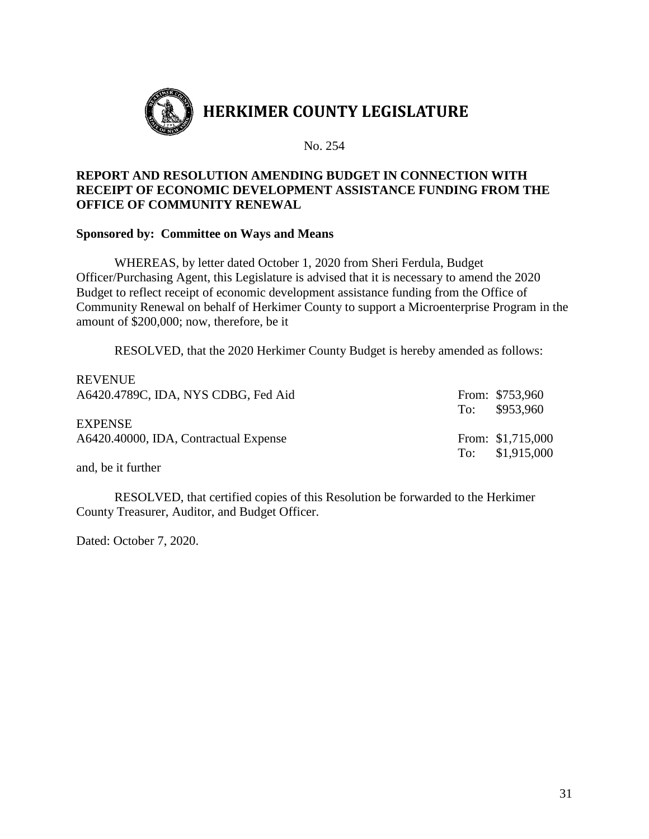

# **REPORT AND RESOLUTION AMENDING BUDGET IN CONNECTION WITH RECEIPT OF ECONOMIC DEVELOPMENT ASSISTANCE FUNDING FROM THE OFFICE OF COMMUNITY RENEWAL**

### **Sponsored by: Committee on Ways and Means**

WHEREAS, by letter dated October 1, 2020 from Sheri Ferdula, Budget Officer/Purchasing Agent, this Legislature is advised that it is necessary to amend the 2020 Budget to reflect receipt of economic development assistance funding from the Office of Community Renewal on behalf of Herkimer County to support a Microenterprise Program in the amount of \$200,000; now, therefore, be it

RESOLVED, that the 2020 Herkimer County Budget is hereby amended as follows:

| <b>REVENUE</b><br>A6420.4789C, IDA, NYS CDBG, Fed Aid   | From: \$753,960<br>To: \$953,960     |
|---------------------------------------------------------|--------------------------------------|
| <b>EXPENSE</b><br>A6420.40000, IDA, Contractual Expense | From: \$1,715,000<br>To: \$1,915,000 |

and, be it further

RESOLVED, that certified copies of this Resolution be forwarded to the Herkimer County Treasurer, Auditor, and Budget Officer.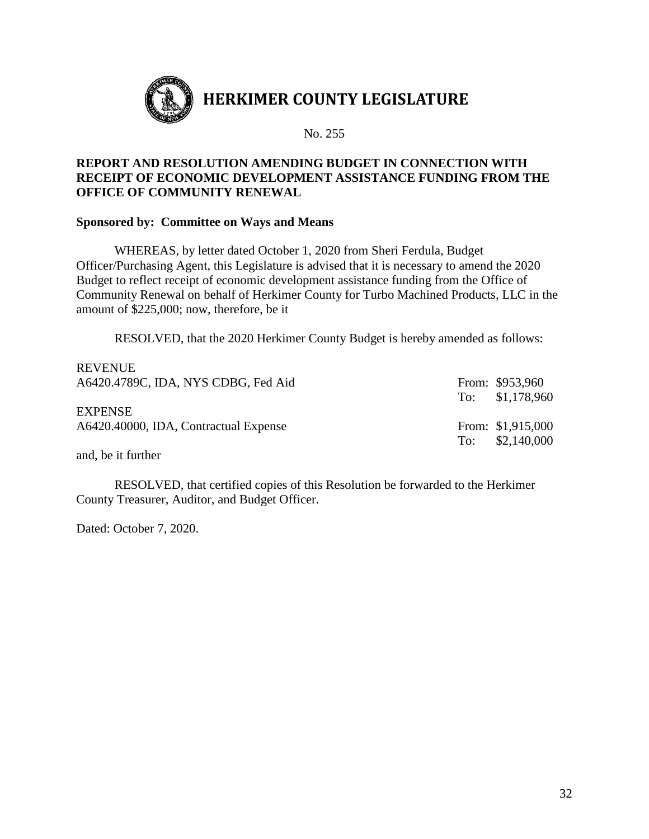

### **REPORT AND RESOLUTION AMENDING BUDGET IN CONNECTION WITH RECEIPT OF ECONOMIC DEVELOPMENT ASSISTANCE FUNDING FROM THE OFFICE OF COMMUNITY RENEWAL**

### **Sponsored by: Committee on Ways and Means**

WHEREAS, by letter dated October 1, 2020 from Sheri Ferdula, Budget Officer/Purchasing Agent, this Legislature is advised that it is necessary to amend the 2020 Budget to reflect receipt of economic development assistance funding from the Office of Community Renewal on behalf of Herkimer County for Turbo Machined Products, LLC in the amount of \$225,000; now, therefore, be it

RESOLVED, that the 2020 Herkimer County Budget is hereby amended as follows:

| <b>REVENUE</b>                        |                   |
|---------------------------------------|-------------------|
| A6420.4789C, IDA, NYS CDBG, Fed Aid   | From: \$953,960   |
|                                       | To: \$1,178,960   |
| <b>EXPENSE</b>                        |                   |
| A6420.40000, IDA, Contractual Expense | From: \$1,915,000 |
|                                       | To: $$2,140,000$  |
|                                       |                   |

and, be it further

RESOLVED, that certified copies of this Resolution be forwarded to the Herkimer County Treasurer, Auditor, and Budget Officer.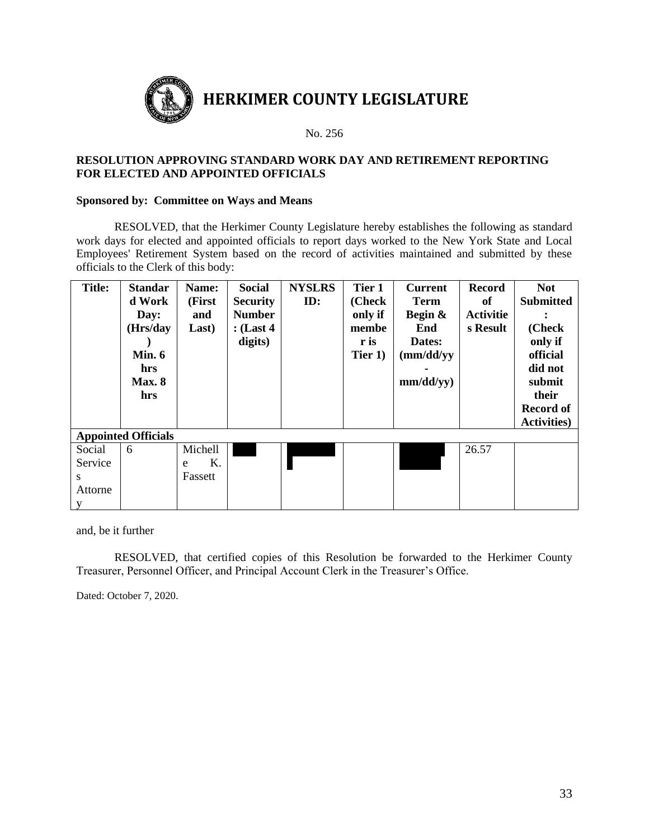

#### **RESOLUTION APPROVING STANDARD WORK DAY AND RETIREMENT REPORTING FOR ELECTED AND APPOINTED OFFICIALS**

#### **Sponsored by: Committee on Ways and Means**

RESOLVED, that the Herkimer County Legislature hereby establishes the following as standard work days for elected and appointed officials to report days worked to the New York State and Local Employees' Retirement System based on the record of activities maintained and submitted by these officials to the Clerk of this body:

| <b>Title:</b>              | <b>Standar</b> | Name:   | Social          | <b>NYSLRS</b> | Tier 1  | <b>Current</b> | <b>Record</b>    | <b>Not</b>          |
|----------------------------|----------------|---------|-----------------|---------------|---------|----------------|------------------|---------------------|
|                            | d Work         | (First  | <b>Security</b> | ID:           | (Check  | <b>Term</b>    | of               | <b>Submitted</b>    |
|                            | Day:           | and     | <b>Number</b>   |               | only if | Begin &        | <b>Activitie</b> |                     |
|                            | (Hrs/day       | Last)   | $:$ (Last 4)    |               | membe   | End            | s Result         | (Check              |
|                            |                |         | digits)         |               | r is    | Dates:         |                  | only if             |
|                            | Min. $6$       |         |                 |               | Tier 1) | (mm/dd/yy)     |                  | official            |
|                            | hrs            |         |                 |               |         |                |                  | did not             |
|                            | Max.8          |         |                 |               |         | mm/dd/yy)      |                  | submit              |
|                            | hrs            |         |                 |               |         |                |                  | their               |
|                            |                |         |                 |               |         |                |                  | <b>Record of</b>    |
|                            |                |         |                 |               |         |                |                  | <b>Activities</b> ) |
| <b>Appointed Officials</b> |                |         |                 |               |         |                |                  |                     |
| Social                     | 6              | Michell |                 |               |         |                | 26.57            |                     |
| Service                    |                | Κ.<br>e |                 |               |         |                |                  |                     |
| S                          |                | Fassett |                 |               |         |                |                  |                     |
| Attorne                    |                |         |                 |               |         |                |                  |                     |
|                            |                |         |                 |               |         |                |                  |                     |

and, be it further

RESOLVED, that certified copies of this Resolution be forwarded to the Herkimer County Treasurer, Personnel Officer, and Principal Account Clerk in the Treasurer's Office.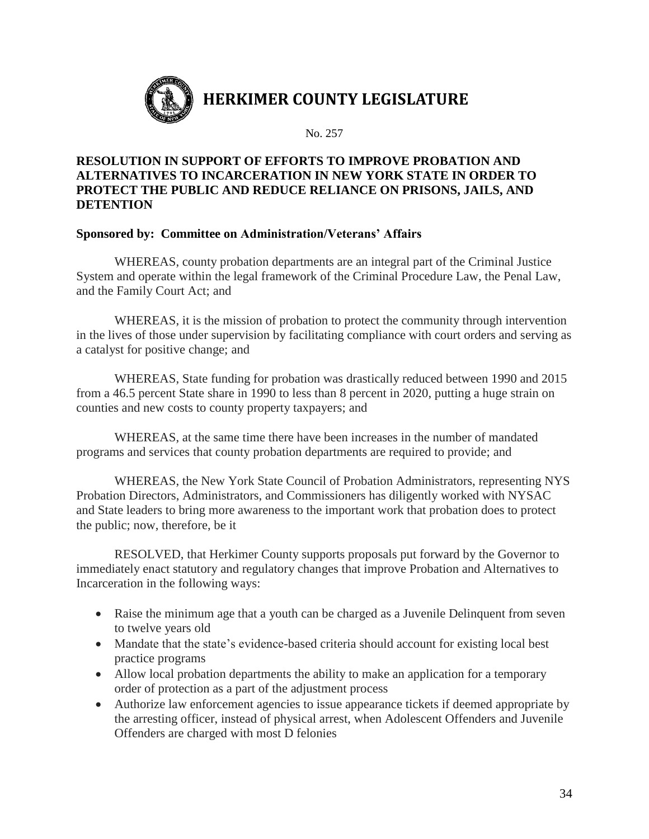

# **RESOLUTION IN SUPPORT OF EFFORTS TO IMPROVE PROBATION AND ALTERNATIVES TO INCARCERATION IN NEW YORK STATE IN ORDER TO PROTECT THE PUBLIC AND REDUCE RELIANCE ON PRISONS, JAILS, AND DETENTION**

### **Sponsored by: Committee on Administration/Veterans' Affairs**

WHEREAS, county probation departments are an integral part of the Criminal Justice System and operate within the legal framework of the Criminal Procedure Law, the Penal Law, and the Family Court Act; and

WHEREAS, it is the mission of probation to protect the community through intervention in the lives of those under supervision by facilitating compliance with court orders and serving as a catalyst for positive change; and

WHEREAS, State funding for probation was drastically reduced between 1990 and 2015 from a 46.5 percent State share in 1990 to less than 8 percent in 2020, putting a huge strain on counties and new costs to county property taxpayers; and

WHEREAS, at the same time there have been increases in the number of mandated programs and services that county probation departments are required to provide; and

WHEREAS, the New York State Council of Probation Administrators, representing NYS Probation Directors, Administrators, and Commissioners has diligently worked with NYSAC and State leaders to bring more awareness to the important work that probation does to protect the public; now, therefore, be it

RESOLVED, that Herkimer County supports proposals put forward by the Governor to immediately enact statutory and regulatory changes that improve Probation and Alternatives to Incarceration in the following ways:

- Raise the minimum age that a youth can be charged as a Juvenile Delinquent from seven to twelve years old
- Mandate that the state's evidence-based criteria should account for existing local best practice programs
- Allow local probation departments the ability to make an application for a temporary order of protection as a part of the adjustment process
- Authorize law enforcement agencies to issue appearance tickets if deemed appropriate by the arresting officer, instead of physical arrest, when Adolescent Offenders and Juvenile Offenders are charged with most D felonies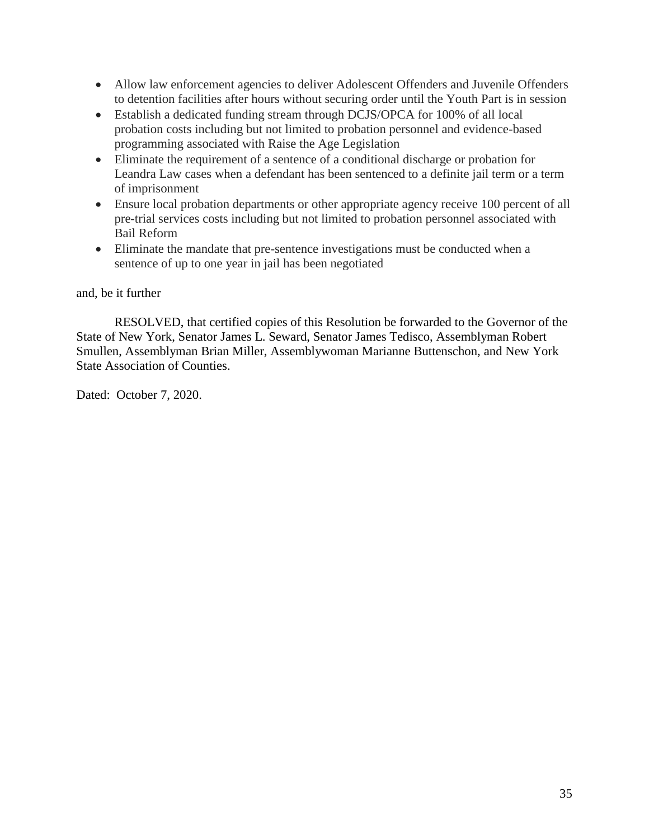- Allow law enforcement agencies to deliver Adolescent Offenders and Juvenile Offenders to detention facilities after hours without securing order until the Youth Part is in session
- Establish a dedicated funding stream through DCJS/OPCA for 100% of all local probation costs including but not limited to probation personnel and evidence-based programming associated with Raise the Age Legislation
- Eliminate the requirement of a sentence of a conditional discharge or probation for Leandra Law cases when a defendant has been sentenced to a definite jail term or a term of imprisonment
- Ensure local probation departments or other appropriate agency receive 100 percent of all pre-trial services costs including but not limited to probation personnel associated with Bail Reform
- Eliminate the mandate that pre-sentence investigations must be conducted when a sentence of up to one year in jail has been negotiated

### and, be it further

RESOLVED, that certified copies of this Resolution be forwarded to the Governor of the State of New York, Senator James L. Seward, Senator James Tedisco, Assemblyman Robert Smullen, Assemblyman Brian Miller, Assemblywoman Marianne Buttenschon, and New York State Association of Counties.